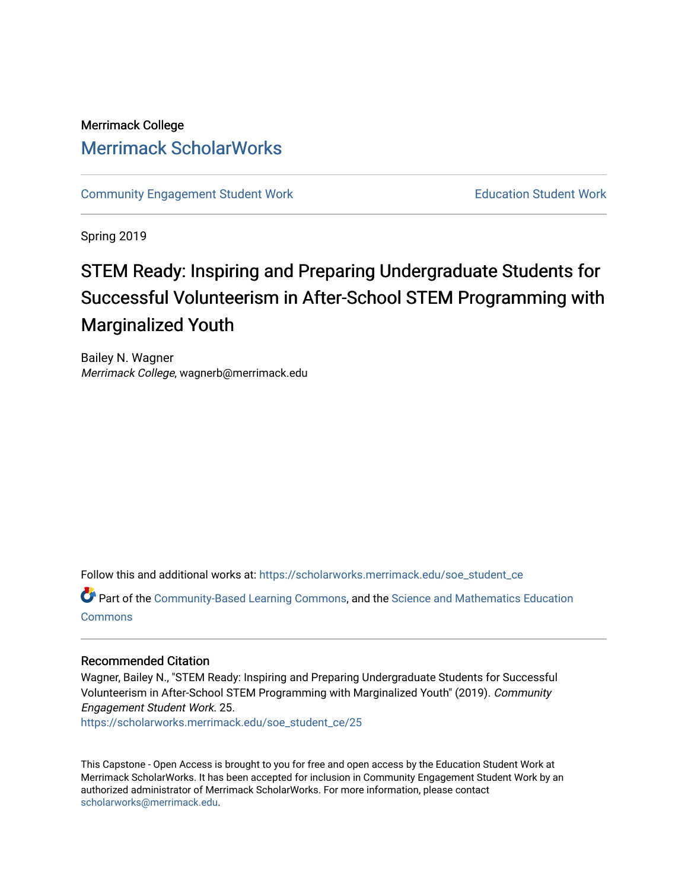# Merrimack College [Merrimack ScholarWorks](https://scholarworks.merrimack.edu/)

[Community Engagement Student Work](https://scholarworks.merrimack.edu/soe_student_ce) **Education Student Work** Education Student Work

Spring 2019

# STEM Ready: Inspiring and Preparing Undergraduate Students for Successful Volunteerism in After-School STEM Programming with Marginalized Youth

Bailey N. Wagner Merrimack College, wagnerb@merrimack.edu

Follow this and additional works at: [https://scholarworks.merrimack.edu/soe\\_student\\_ce](https://scholarworks.merrimack.edu/soe_student_ce?utm_source=scholarworks.merrimack.edu%2Fsoe_student_ce%2F25&utm_medium=PDF&utm_campaign=PDFCoverPages) 

Part of the [Community-Based Learning Commons,](http://network.bepress.com/hgg/discipline/1046?utm_source=scholarworks.merrimack.edu%2Fsoe_student_ce%2F25&utm_medium=PDF&utm_campaign=PDFCoverPages) and the [Science and Mathematics Education](http://network.bepress.com/hgg/discipline/800?utm_source=scholarworks.merrimack.edu%2Fsoe_student_ce%2F25&utm_medium=PDF&utm_campaign=PDFCoverPages) **[Commons](http://network.bepress.com/hgg/discipline/800?utm_source=scholarworks.merrimack.edu%2Fsoe_student_ce%2F25&utm_medium=PDF&utm_campaign=PDFCoverPages)** 

# Recommended Citation

Wagner, Bailey N., "STEM Ready: Inspiring and Preparing Undergraduate Students for Successful Volunteerism in After-School STEM Programming with Marginalized Youth" (2019). Community Engagement Student Work. 25.

[https://scholarworks.merrimack.edu/soe\\_student\\_ce/25](https://scholarworks.merrimack.edu/soe_student_ce/25?utm_source=scholarworks.merrimack.edu%2Fsoe_student_ce%2F25&utm_medium=PDF&utm_campaign=PDFCoverPages)

This Capstone - Open Access is brought to you for free and open access by the Education Student Work at Merrimack ScholarWorks. It has been accepted for inclusion in Community Engagement Student Work by an authorized administrator of Merrimack ScholarWorks. For more information, please contact [scholarworks@merrimack.edu](mailto:scholarworks@merrimack.edu).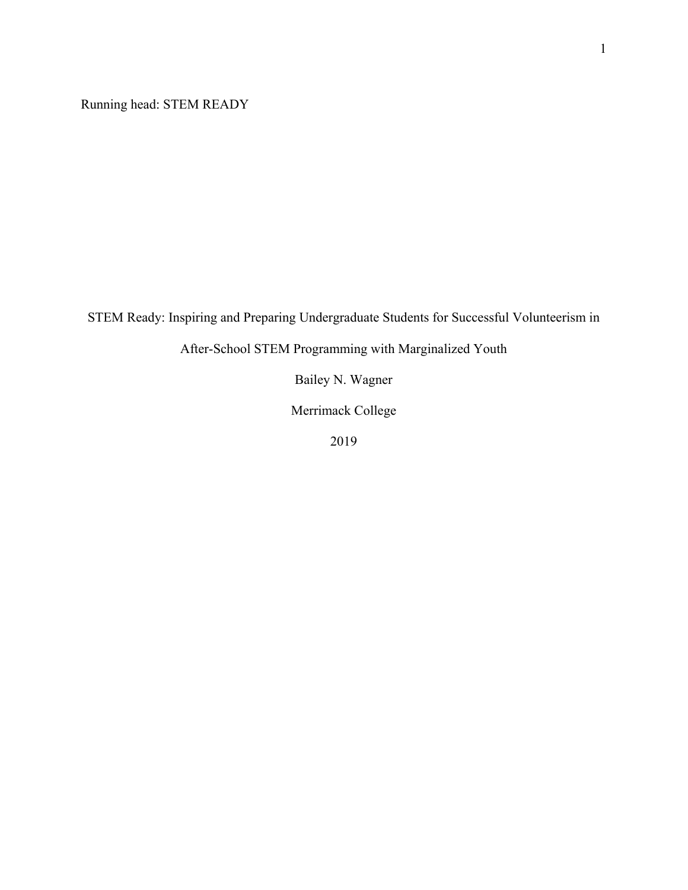Running head: STEM READY

STEM Ready: Inspiring and Preparing Undergraduate Students for Successful Volunteerism in

After-School STEM Programming with Marginalized Youth

Bailey N. Wagner

Merrimack College

2019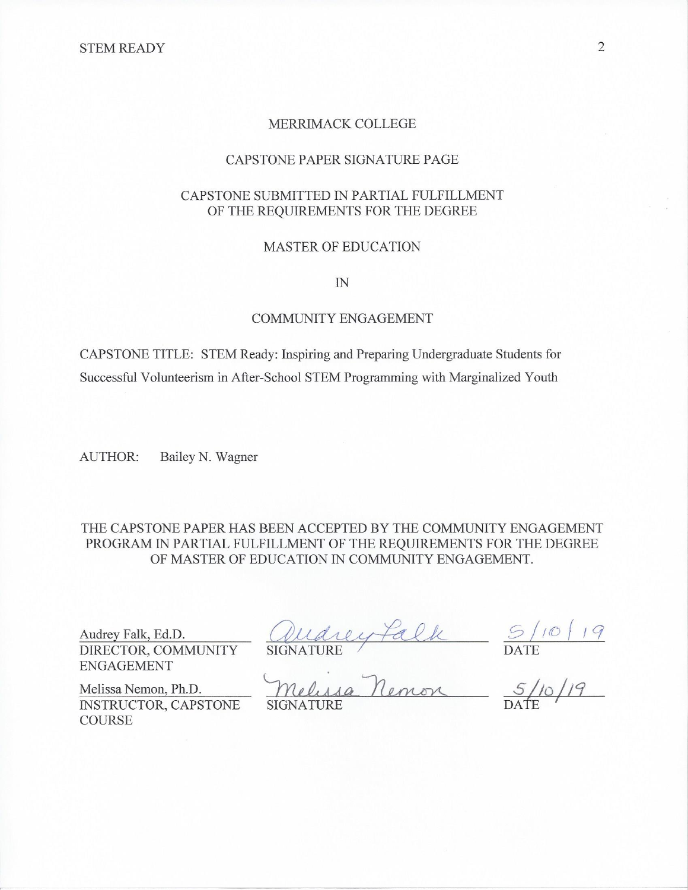# MERRIMACK COLLEGE

# CAPSTONE PAPER SIGNATURE PAGE

# CAPSTONE SUBMITTED IN PARTIAL FULFILLMENT OF THE REQUIREMENTS FOR THE DEGREE

# **MASTER OF EDUCATION**

 $IN$ 

# **COMMUNITY ENGAGEMENT**

CAPSTONE TITLE: STEM Ready: Inspiring and Preparing Undergraduate Students for Successful Volunteerism in After-School STEM Programming with Marginalized Youth

Bailey N. Wagner **AUTHOR:** 

THE CAPSTONE PAPER HAS BEEN ACCEPTED BY THE COMMUNITY ENGAGEMENT PROGRAM IN PARTIAL FULFILLMENT OF THE REQUIREMENTS FOR THE DEGREE OF MASTER OF EDUCATION IN COMMUNITY ENGAGEMENT.

Audrey Falk, Ed.D. DIRECTOR, COMMUNITY **ENGAGEMENT** 

**COURSE** 

Quarey Falk 5/10/19<br>SIGNATURE DATE DATE

Melissa Nemon, Ph.D. INSTRUCTOR, CAPSTONE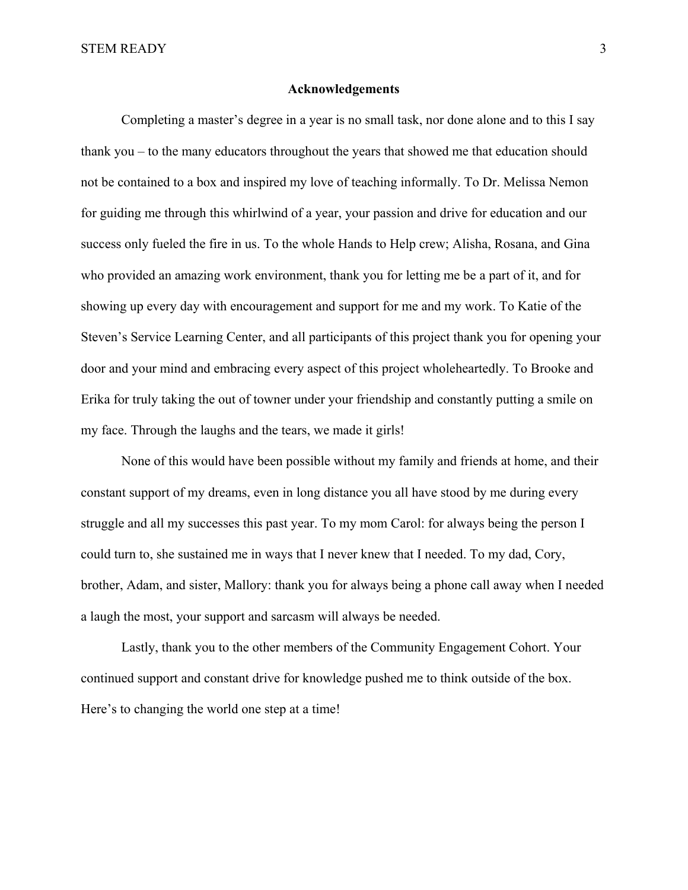# **Acknowledgements**

 Completing a master's degree in a year is no small task, nor done alone and to this I say thank you – to the many educators throughout the years that showed me that education should not be contained to a box and inspired my love of teaching informally. To Dr. Melissa Nemon for guiding me through this whirlwind of a year, your passion and drive for education and our success only fueled the fire in us. To the whole Hands to Help crew; Alisha, Rosana, and Gina who provided an amazing work environment, thank you for letting me be a part of it, and for showing up every day with encouragement and support for me and my work. To Katie of the Steven's Service Learning Center, and all participants of this project thank you for opening your door and your mind and embracing every aspect of this project wholeheartedly. To Brooke and Erika for truly taking the out of towner under your friendship and constantly putting a smile on my face. Through the laughs and the tears, we made it girls!

 None of this would have been possible without my family and friends at home, and their constant support of my dreams, even in long distance you all have stood by me during every struggle and all my successes this past year. To my mom Carol: for always being the person I could turn to, she sustained me in ways that I never knew that I needed. To my dad, Cory, brother, Adam, and sister, Mallory: thank you for always being a phone call away when I needed a laugh the most, your support and sarcasm will always be needed.

 Lastly, thank you to the other members of the Community Engagement Cohort. Your continued support and constant drive for knowledge pushed me to think outside of the box. Here's to changing the world one step at a time!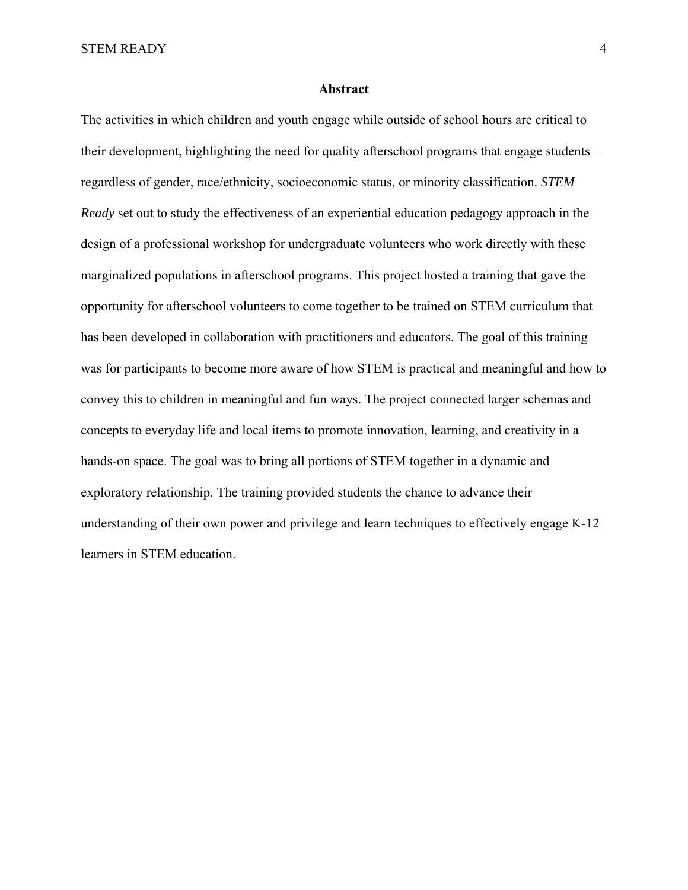# **Abstract**

The activities in which children and youth engage while outside of school hours are critical to their development, highlighting the need for quality afterschool programs that engage students – regardless of gender, race/ethnicity, socioeconomic status, or minority classification. *STEM Ready* set out to study the effectiveness of an experiential education pedagogy approach in the design of a professional workshop for undergraduate volunteers who work directly with these marginalized populations in afterschool programs. This project hosted a training that gave the opportunity for afterschool volunteers to come together to be trained on STEM curriculum that has been developed in collaboration with practitioners and educators. The goal of this training was for participants to become more aware of how STEM is practical and meaningful and how to convey this to children in meaningful and fun ways. The project connected larger schemas and concepts to everyday life and local items to promote innovation, learning, and creativity in a hands-on space. The goal was to bring all portions of STEM together in a dynamic and exploratory relationship. The training provided students the chance to advance their understanding of their own power and privilege and learn techniques to effectively engage K-12 learners in STEM education.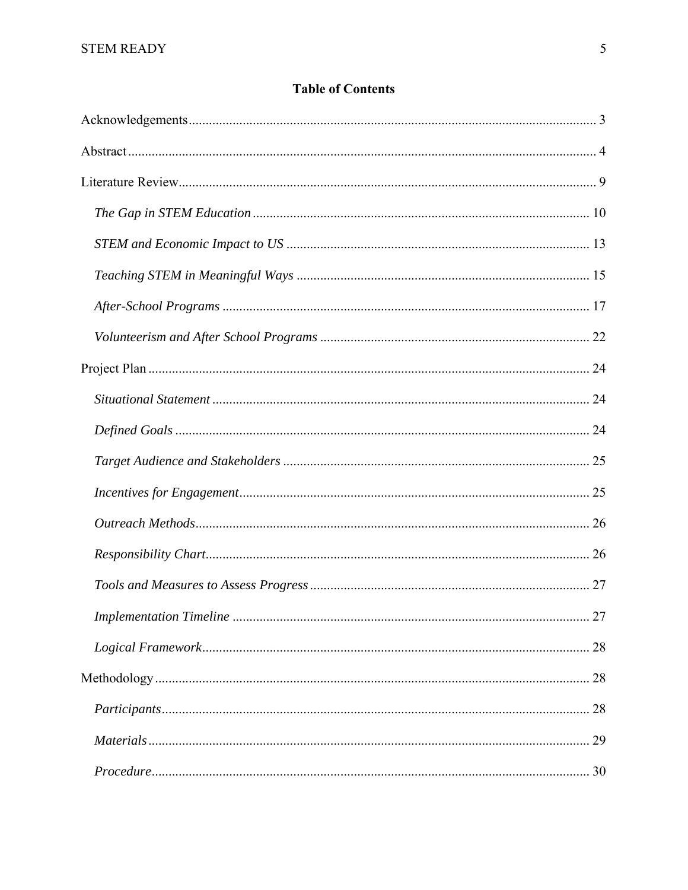# **Table of Contents**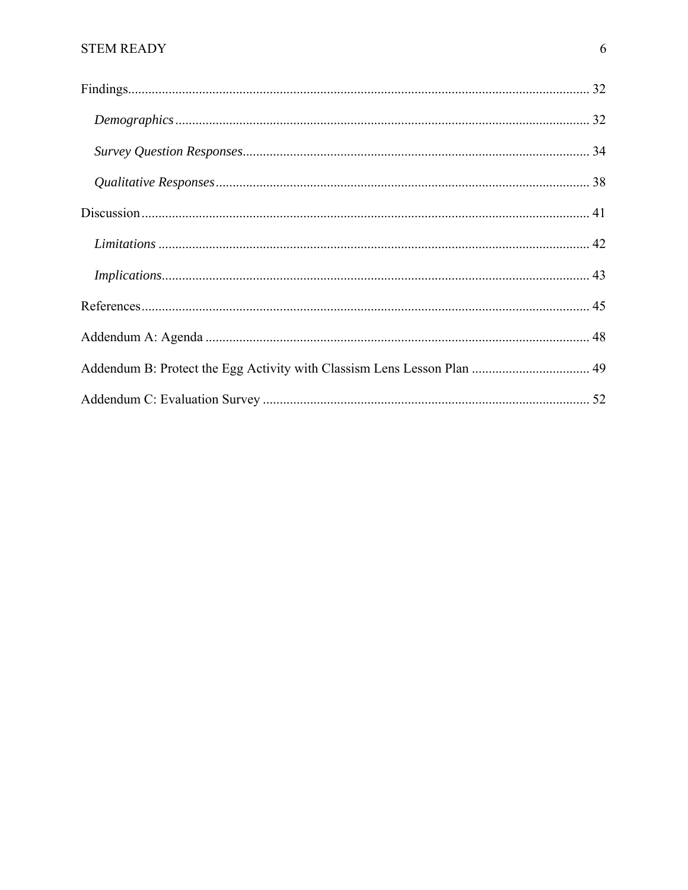| Addendum B: Protect the Egg Activity with Classism Lens Lesson Plan  49 |  |
|-------------------------------------------------------------------------|--|
|                                                                         |  |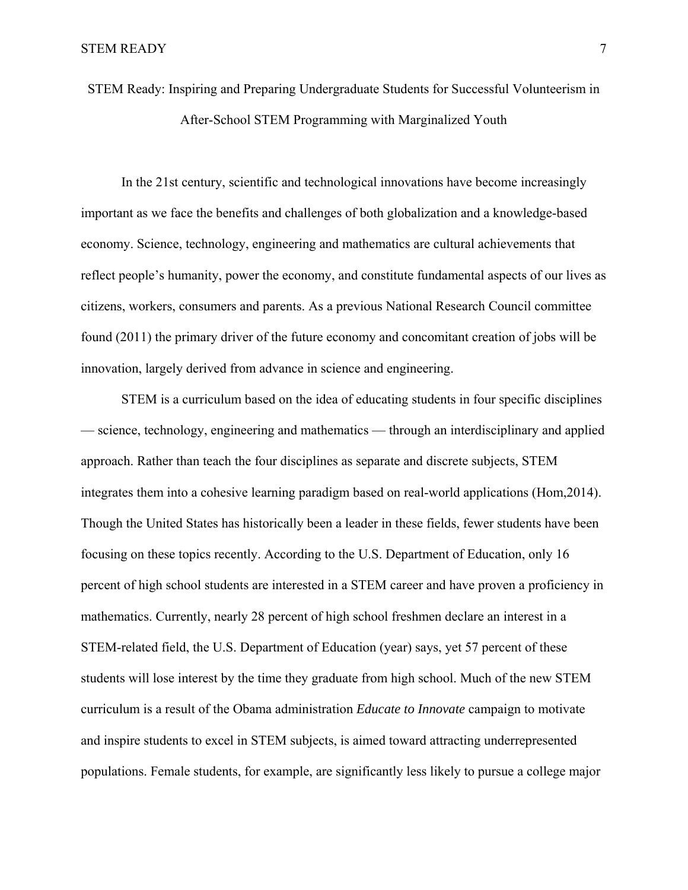STEM Ready: Inspiring and Preparing Undergraduate Students for Successful Volunteerism in After-School STEM Programming with Marginalized Youth

 In the 21st century, scientific and technological innovations have become increasingly important as we face the benefits and challenges of both globalization and a knowledge-based economy. Science, technology, engineering and mathematics are cultural achievements that reflect people's humanity, power the economy, and constitute fundamental aspects of our lives as citizens, workers, consumers and parents. As a previous National Research Council committee found (2011) the primary driver of the future economy and concomitant creation of jobs will be innovation, largely derived from advance in science and engineering.

 STEM is a curriculum based on the idea of educating students in four specific disciplines — science, technology, engineering and mathematics — through an interdisciplinary and applied approach. Rather than teach the four disciplines as separate and discrete subjects, STEM integrates them into a cohesive learning paradigm based on real-world applications (Hom,2014). Though the United States has historically been a leader in these fields, fewer students have been focusing on these topics recently. According to the U.S. Department of Education, only 16 percent of high school students are interested in a STEM career and have proven a proficiency in mathematics. Currently, nearly 28 percent of high school freshmen declare an interest in a STEM-related field, the U.S. Department of Education (year) says, yet 57 percent of these students will lose interest by the time they graduate from high school. Much of the new STEM curriculum is a result of the Obama administration *Educate to Innovate* campaign to motivate and inspire students to excel in STEM subjects, is aimed toward attracting underrepresented populations. Female students, for example, are significantly less likely to pursue a college major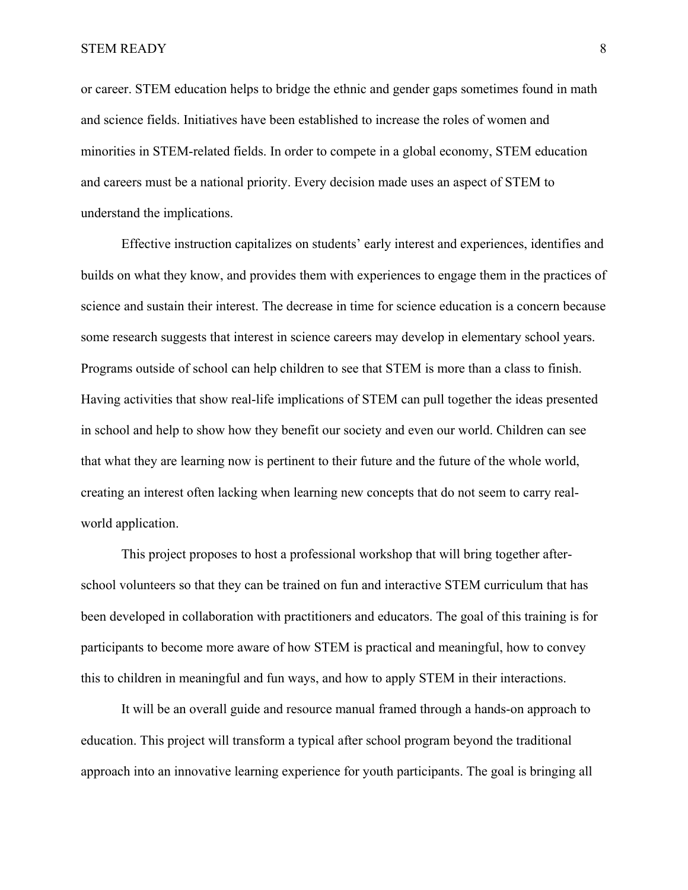or career. STEM education helps to bridge the ethnic and gender gaps sometimes found in math and science fields. Initiatives have been established to increase the roles of women and minorities in STEM-related fields. In order to compete in a global economy, STEM education and careers must be a national priority. Every decision made uses an aspect of STEM to understand the implications.

Effective instruction capitalizes on students' early interest and experiences, identifies and builds on what they know, and provides them with experiences to engage them in the practices of science and sustain their interest. The decrease in time for science education is a concern because some research suggests that interest in science careers may develop in elementary school years. Programs outside of school can help children to see that STEM is more than a class to finish. Having activities that show real-life implications of STEM can pull together the ideas presented in school and help to show how they benefit our society and even our world. Children can see that what they are learning now is pertinent to their future and the future of the whole world, creating an interest often lacking when learning new concepts that do not seem to carry realworld application.

 This project proposes to host a professional workshop that will bring together afterschool volunteers so that they can be trained on fun and interactive STEM curriculum that has been developed in collaboration with practitioners and educators. The goal of this training is for participants to become more aware of how STEM is practical and meaningful, how to convey this to children in meaningful and fun ways, and how to apply STEM in their interactions.

It will be an overall guide and resource manual framed through a hands-on approach to education. This project will transform a typical after school program beyond the traditional approach into an innovative learning experience for youth participants. The goal is bringing all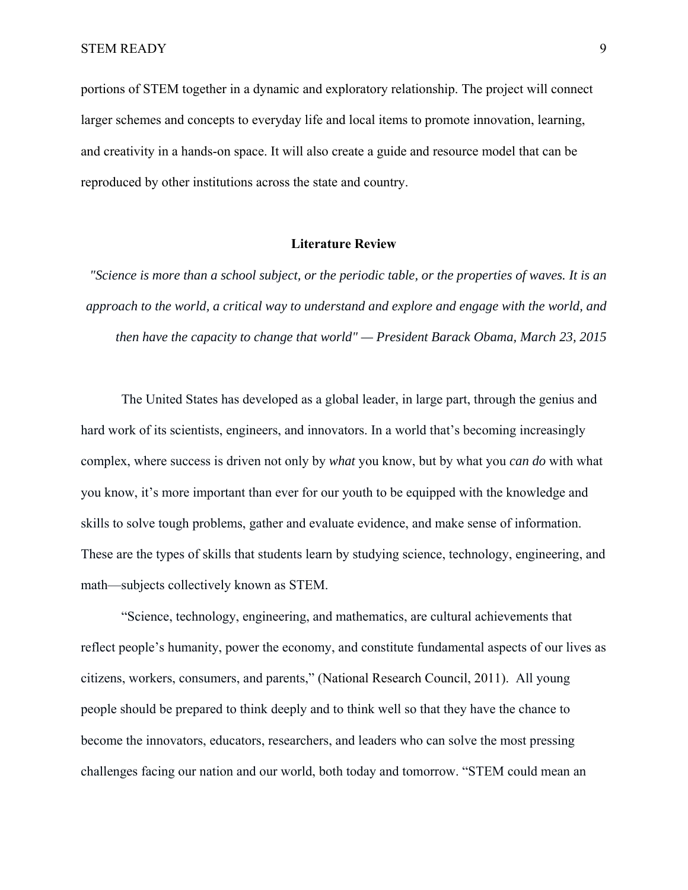portions of STEM together in a dynamic and exploratory relationship. The project will connect larger schemes and concepts to everyday life and local items to promote innovation, learning, and creativity in a hands-on space. It will also create a guide and resource model that can be reproduced by other institutions across the state and country.

# **Literature Review**

*"Science is more than a school subject, or the periodic table, or the properties of waves. It is an approach to the world, a critical way to understand and explore and engage with the world, and then have the capacity to change that world" — President Barack Obama, March 23, 2015* 

The United States has developed as a global leader, in large part, through the genius and hard work of its scientists, engineers, and innovators. In a world that's becoming increasingly complex, where success is driven not only by *what* you know, but by what you *can do* with what you know, it's more important than ever for our youth to be equipped with the knowledge and skills to solve tough problems, gather and evaluate evidence, and make sense of information. These are the types of skills that students learn by studying science, technology, engineering, and math—subjects collectively known as STEM.

"Science, technology, engineering, and mathematics, are cultural achievements that reflect people's humanity, power the economy, and constitute fundamental aspects of our lives as citizens, workers, consumers, and parents," (National Research Council, 2011). All young people should be prepared to think deeply and to think well so that they have the chance to become the innovators, educators, researchers, and leaders who can solve the most pressing challenges facing our nation and our world, both today and tomorrow. "STEM could mean an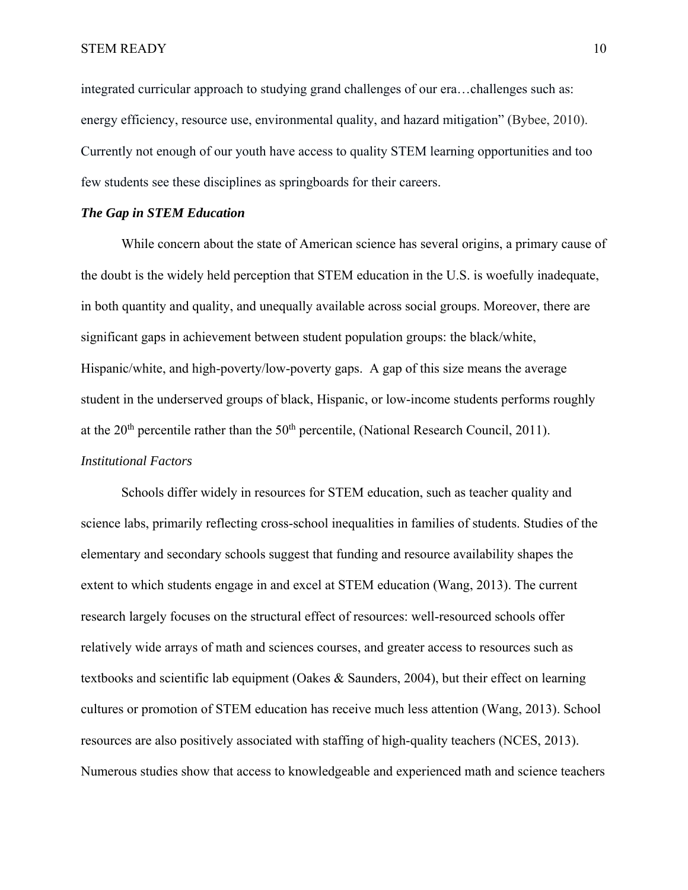integrated curricular approach to studying grand challenges of our era…challenges such as: energy efficiency, resource use, environmental quality, and hazard mitigation" (Bybee, 2010). Currently not enough of our youth have access to quality STEM learning opportunities and too few students see these disciplines as springboards for their careers.

# *The Gap in STEM Education*

While concern about the state of American science has several origins, a primary cause of the doubt is the widely held perception that STEM education in the U.S. is woefully inadequate, in both quantity and quality, and unequally available across social groups. Moreover, there are significant gaps in achievement between student population groups: the black/white, Hispanic/white, and high-poverty/low-poverty gaps. A gap of this size means the average student in the underserved groups of black, Hispanic, or low-income students performs roughly at the  $20<sup>th</sup>$  percentile rather than the  $50<sup>th</sup>$  percentile, (National Research Council, 2011). *Institutional Factors*

Schools differ widely in resources for STEM education, such as teacher quality and science labs, primarily reflecting cross-school inequalities in families of students. Studies of the elementary and secondary schools suggest that funding and resource availability shapes the extent to which students engage in and excel at STEM education (Wang, 2013). The current research largely focuses on the structural effect of resources: well-resourced schools offer relatively wide arrays of math and sciences courses, and greater access to resources such as textbooks and scientific lab equipment (Oakes & Saunders, 2004), but their effect on learning cultures or promotion of STEM education has receive much less attention (Wang, 2013). School resources are also positively associated with staffing of high-quality teachers (NCES, 2013). Numerous studies show that access to knowledgeable and experienced math and science teachers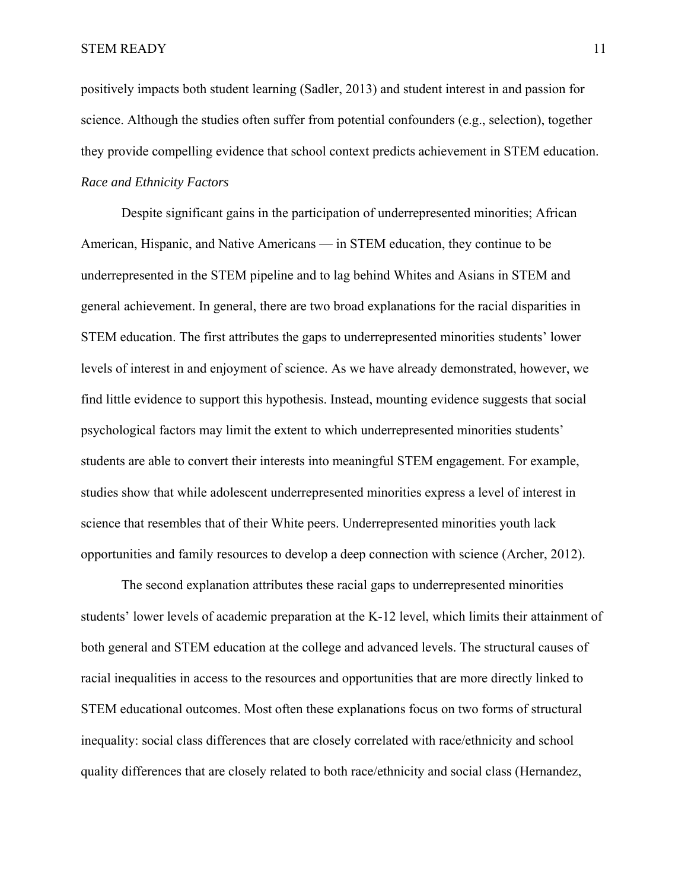positively impacts both student learning (Sadler, 2013) and student interest in and passion for science. Although the studies often suffer from potential confounders (e.g., selection), together they provide compelling evidence that school context predicts achievement in STEM education. *Race and Ethnicity Factors* 

Despite significant gains in the participation of underrepresented minorities; African American, Hispanic, and Native Americans — in STEM education, they continue to be underrepresented in the STEM pipeline and to lag behind Whites and Asians in STEM and general achievement. In general, there are two broad explanations for the racial disparities in STEM education. The first attributes the gaps to underrepresented minorities students' lower levels of interest in and enjoyment of science. As we have already demonstrated, however, we find little evidence to support this hypothesis. Instead, mounting evidence suggests that social psychological factors may limit the extent to which underrepresented minorities students' students are able to convert their interests into meaningful STEM engagement. For example, studies show that while adolescent underrepresented minorities express a level of interest in science that resembles that of their White peers. Underrepresented minorities youth lack opportunities and family resources to develop a deep connection with science (Archer, 2012).

The second explanation attributes these racial gaps to underrepresented minorities students' lower levels of academic preparation at the K-12 level, which limits their attainment of both general and STEM education at the college and advanced levels. The structural causes of racial inequalities in access to the resources and opportunities that are more directly linked to STEM educational outcomes. Most often these explanations focus on two forms of structural inequality: social class differences that are closely correlated with race/ethnicity and school quality differences that are closely related to both race/ethnicity and social class (Hernandez,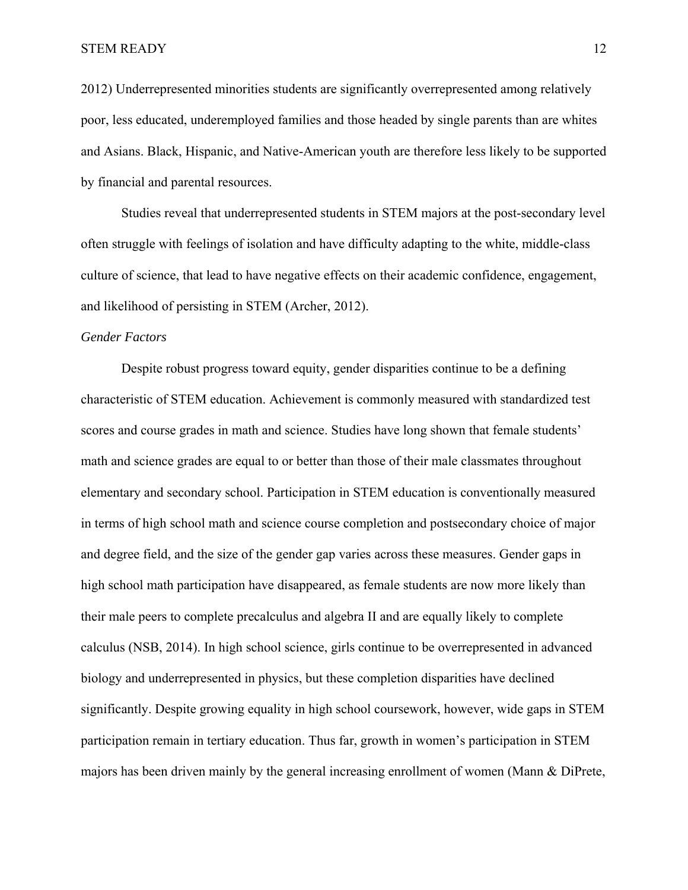2012) Underrepresented minorities students are significantly overrepresented among relatively poor, less educated, underemployed families and those headed by single parents than are whites and Asians. Black, Hispanic, and Native-American youth are therefore less likely to be supported by financial and parental resources.

Studies reveal that underrepresented students in STEM majors at the post-secondary level often struggle with feelings of isolation and have difficulty adapting to the white, middle-class culture of science, that lead to have negative effects on their academic confidence, engagement, and likelihood of persisting in STEM (Archer, 2012).

#### *Gender Factors*

Despite robust progress toward equity, gender disparities continue to be a defining characteristic of STEM education. Achievement is commonly measured with standardized test scores and course grades in math and science. Studies have long shown that female students' math and science grades are equal to or better than those of their male classmates throughout elementary and secondary school. Participation in STEM education is conventionally measured in terms of high school math and science course completion and postsecondary choice of major and degree field, and the size of the gender gap varies across these measures. Gender gaps in high school math participation have disappeared, as female students are now more likely than their male peers to complete precalculus and algebra II and are equally likely to complete calculus (NSB, 2014). In high school science, girls continue to be overrepresented in advanced biology and underrepresented in physics, but these completion disparities have declined significantly. Despite growing equality in high school coursework, however, wide gaps in STEM participation remain in tertiary education. Thus far, growth in women's participation in STEM majors has been driven mainly by the general increasing enrollment of women (Mann & DiPrete,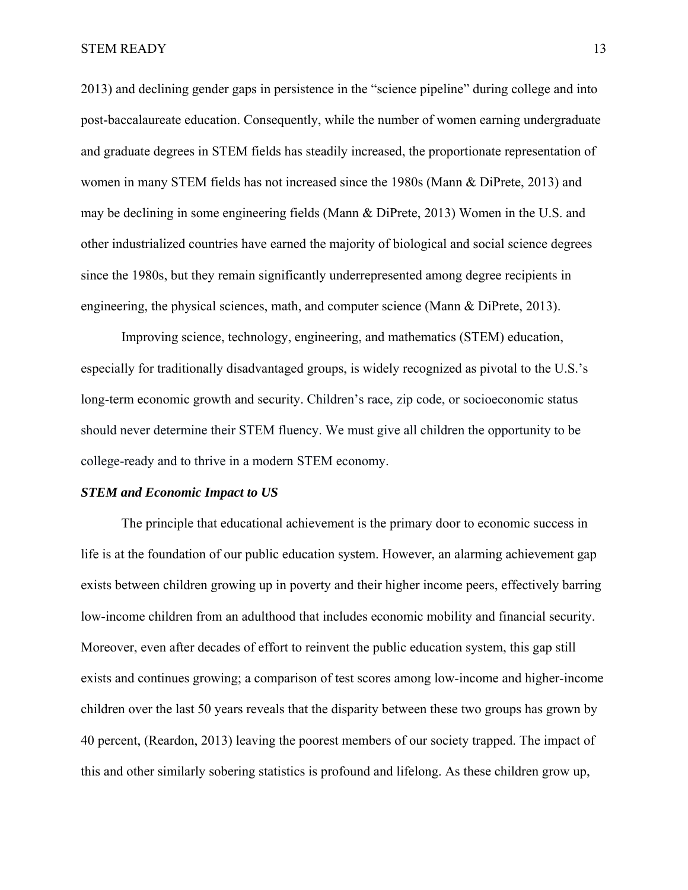2013) and declining gender gaps in persistence in the "science pipeline" during college and into post-baccalaureate education. Consequently, while the number of women earning undergraduate and graduate degrees in STEM fields has steadily increased, the proportionate representation of women in many STEM fields has not increased since the 1980s (Mann & DiPrete, 2013) and may be declining in some engineering fields (Mann & DiPrete, 2013) Women in the U.S. and other industrialized countries have earned the majority of biological and social science degrees since the 1980s, but they remain significantly underrepresented among degree recipients in engineering, the physical sciences, math, and computer science (Mann & DiPrete, 2013).

Improving science, technology, engineering, and mathematics (STEM) education, especially for traditionally disadvantaged groups, is widely recognized as pivotal to the U.S.'s long-term economic growth and security. Children's race, zip code, or socioeconomic status should never determine their STEM fluency. We must give all children the opportunity to be college-ready and to thrive in a modern STEM economy.

# *STEM and Economic Impact to US*

The principle that educational achievement is the primary door to economic success in life is at the foundation of our public education system. However, an alarming achievement gap exists between children growing up in poverty and their higher income peers, effectively barring low-income children from an adulthood that includes economic mobility and financial security. Moreover, even after decades of effort to reinvent the public education system, this gap still exists and continues growing; a comparison of test scores among low-income and higher-income children over the last 50 years reveals that the disparity between these two groups has grown by 40 percent, (Reardon, 2013) leaving the poorest members of our society trapped. The impact of this and other similarly sobering statistics is profound and lifelong. As these children grow up,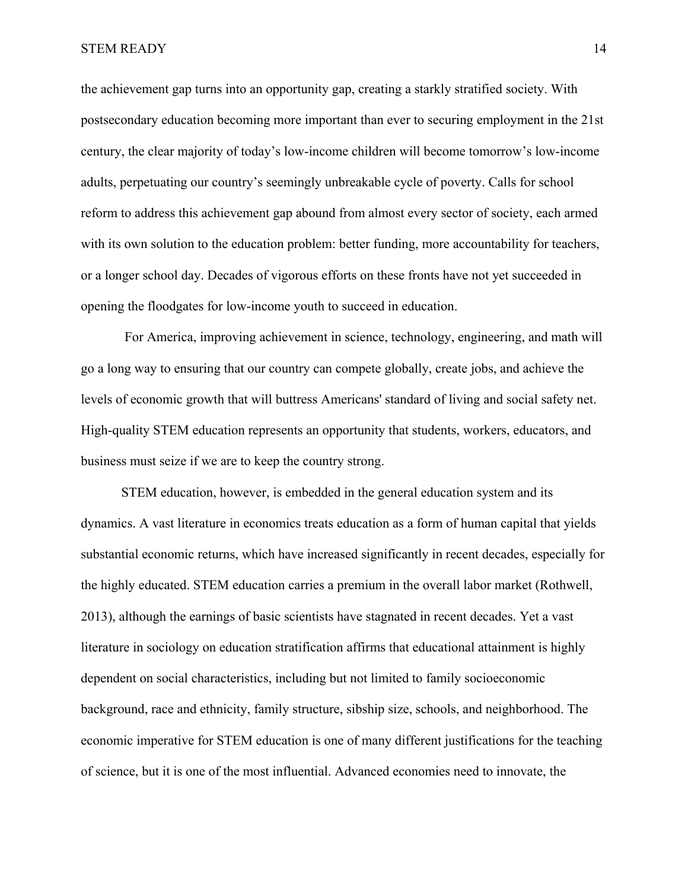the achievement gap turns into an opportunity gap, creating a starkly stratified society. With postsecondary education becoming more important than ever to securing employment in the 21st century, the clear majority of today's low-income children will become tomorrow's low-income adults, perpetuating our country's seemingly unbreakable cycle of poverty. Calls for school reform to address this achievement gap abound from almost every sector of society, each armed with its own solution to the education problem: better funding, more accountability for teachers, or a longer school day. Decades of vigorous efforts on these fronts have not yet succeeded in opening the floodgates for low-income youth to succeed in education.

 For America, improving achievement in science, technology, engineering, and math will go a long way to ensuring that our country can compete globally, create jobs, and achieve the levels of economic growth that will buttress Americans' standard of living and social safety net. High-quality STEM education represents an opportunity that students, workers, educators, and business must seize if we are to keep the country strong.

STEM education, however, is embedded in the general education system and its dynamics. A vast literature in economics treats education as a form of human capital that yields substantial economic returns, which have increased significantly in recent decades, especially for the highly educated. STEM education carries a premium in the overall labor market (Rothwell, 2013), although the earnings of basic scientists have stagnated in recent decades. Yet a vast literature in sociology on education stratification affirms that educational attainment is highly dependent on social characteristics, including but not limited to family socioeconomic background, race and ethnicity, family structure, sibship size, schools, and neighborhood. The economic imperative for STEM education is one of many different justifications for the teaching of science, but it is one of the most influential. Advanced economies need to innovate, the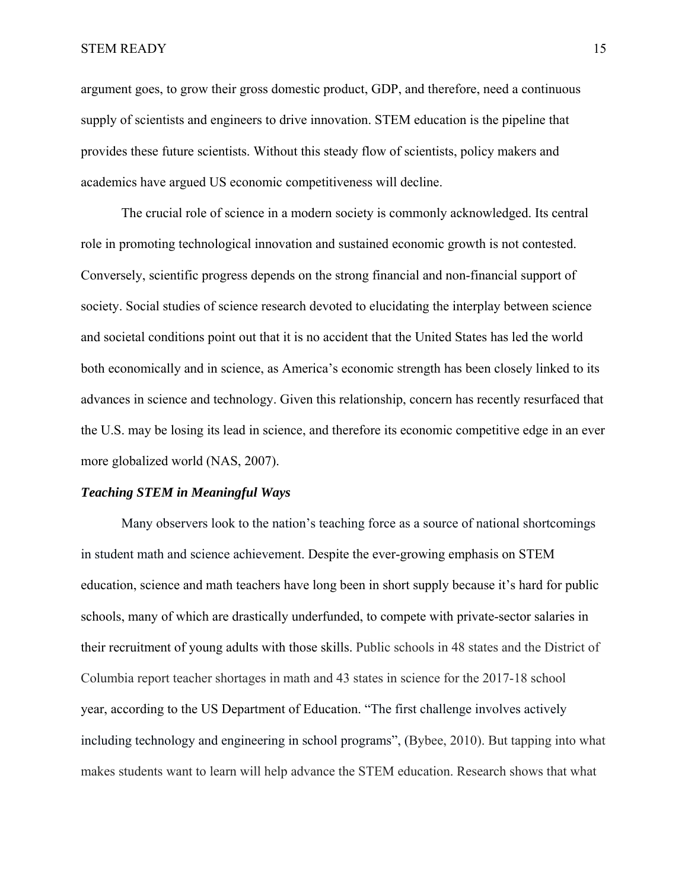argument goes, to grow their gross domestic product, GDP, and therefore, need a continuous supply of scientists and engineers to drive innovation. STEM education is the pipeline that provides these future scientists. Without this steady flow of scientists, policy makers and academics have argued US economic competitiveness will decline.

The crucial role of science in a modern society is commonly acknowledged. Its central role in promoting technological innovation and sustained economic growth is not contested. Conversely, scientific progress depends on the strong financial and non-financial support of society. Social studies of science research devoted to elucidating the interplay between science and societal conditions point out that it is no accident that the United States has led the world both economically and in science, as America's economic strength has been closely linked to its advances in science and technology. Given this relationship, concern has recently resurfaced that the U.S. may be losing its lead in science, and therefore its economic competitive edge in an ever more globalized world (NAS, 2007).

#### *Teaching STEM in Meaningful Ways*

Many observers look to the nation's teaching force as a source of national shortcomings in student math and science achievement. Despite the ever-growing emphasis on STEM education, science and math teachers have long been in short supply because it's hard for public schools, many of which are drastically underfunded, to compete with private-sector salaries in their recruitment of young adults with those skills. Public schools in 48 states and the District of Columbia report teacher shortages in math and 43 states in science for the 2017-18 school year, according to the US Department of Education. "The first challenge involves actively including technology and engineering in school programs", (Bybee, 2010). But tapping into what makes students want to learn will help advance the STEM education. Research shows that what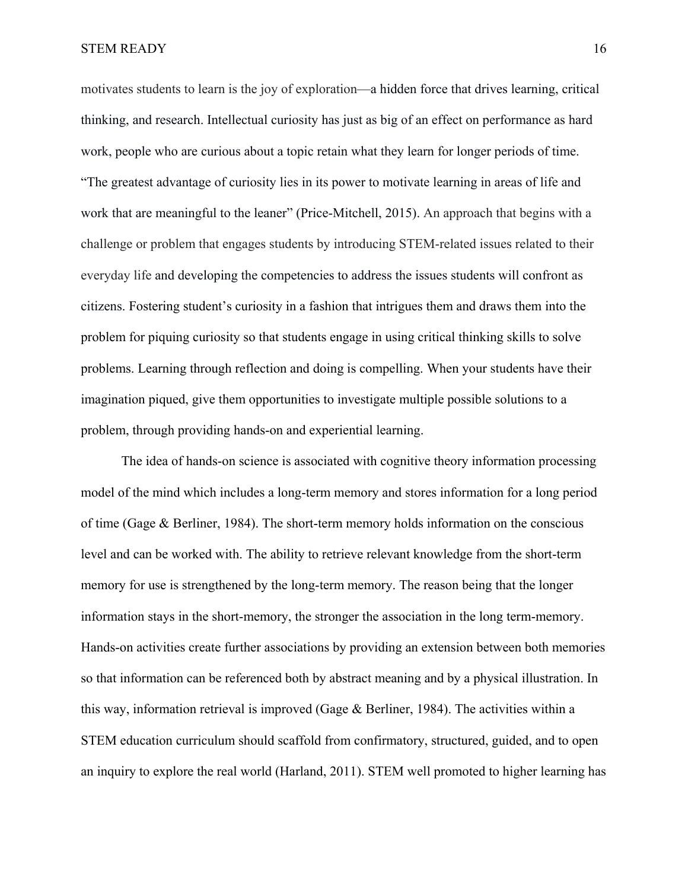motivates students to learn is the joy of exploration—a hidden force that drives learning, critical thinking, and research. Intellectual curiosity has just as big of an effect on performance as hard work, people who are curious about a topic retain what they learn for longer periods of time. "The greatest advantage of curiosity lies in its power to motivate learning in areas of life and work that are meaningful to the leaner" (Price-Mitchell, 2015). An approach that begins with a challenge or problem that engages students by introducing STEM-related issues related to their everyday life and developing the competencies to address the issues students will confront as citizens. Fostering student's curiosity in a fashion that intrigues them and draws them into the problem for piquing curiosity so that students engage in using critical thinking skills to solve problems. Learning through reflection and doing is compelling. When your students have their imagination piqued, give them opportunities to investigate multiple possible solutions to a problem, through providing hands-on and experiential learning.

The idea of hands-on science is associated with cognitive theory information processing model of the mind which includes a long-term memory and stores information for a long period of time (Gage & Berliner, 1984). The short-term memory holds information on the conscious level and can be worked with. The ability to retrieve relevant knowledge from the short-term memory for use is strengthened by the long-term memory. The reason being that the longer information stays in the short-memory, the stronger the association in the long term-memory. Hands-on activities create further associations by providing an extension between both memories so that information can be referenced both by abstract meaning and by a physical illustration. In this way, information retrieval is improved (Gage  $\&$  Berliner, 1984). The activities within a STEM education curriculum should scaffold from confirmatory, structured, guided, and to open an inquiry to explore the real world (Harland, 2011). STEM well promoted to higher learning has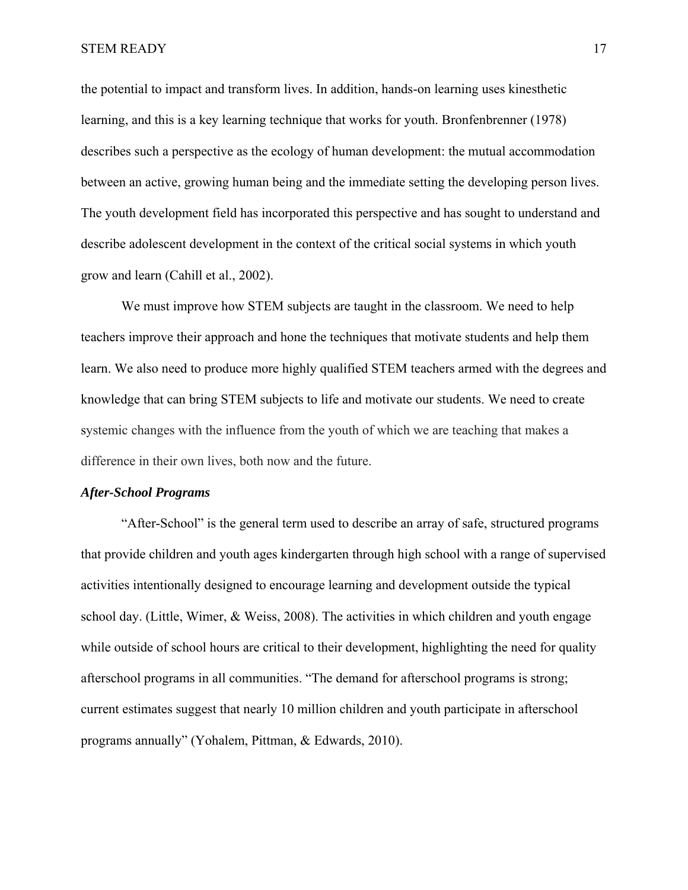the potential to impact and transform lives. In addition, hands-on learning uses kinesthetic learning, and this is a key learning technique that works for youth. Bronfenbrenner (1978) describes such a perspective as the ecology of human development: the mutual accommodation between an active, growing human being and the immediate setting the developing person lives. The youth development field has incorporated this perspective and has sought to understand and describe adolescent development in the context of the critical social systems in which youth grow and learn (Cahill et al., 2002).

We must improve how STEM subjects are taught in the classroom. We need to help teachers improve their approach and hone the techniques that motivate students and help them learn. We also need to produce more highly qualified STEM teachers armed with the degrees and knowledge that can bring STEM subjects to life and motivate our students. We need to create systemic changes with the influence from the youth of which we are teaching that makes a difference in their own lives, both now and the future.

#### *After-School Programs*

"After-School" is the general term used to describe an array of safe, structured programs that provide children and youth ages kindergarten through high school with a range of supervised activities intentionally designed to encourage learning and development outside the typical school day. (Little, Wimer, & Weiss, 2008). The activities in which children and youth engage while outside of school hours are critical to their development, highlighting the need for quality afterschool programs in all communities. "The demand for afterschool programs is strong; current estimates suggest that nearly 10 million children and youth participate in afterschool programs annually" (Yohalem, Pittman, & Edwards, 2010).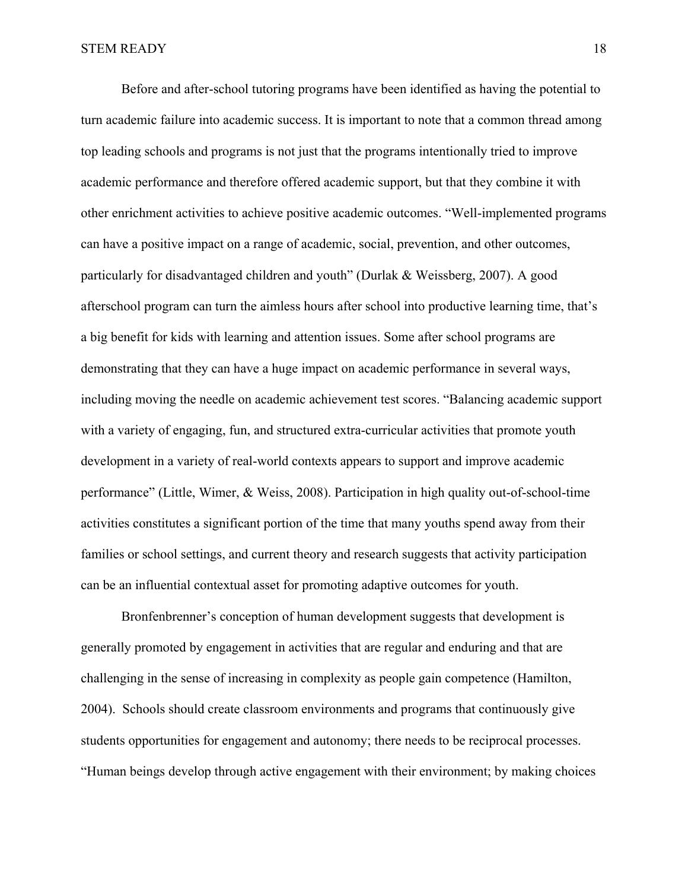Before and after-school tutoring programs have been identified as having the potential to turn academic failure into academic success. It is important to note that a common thread among top leading schools and programs is not just that the programs intentionally tried to improve academic performance and therefore offered academic support, but that they combine it with other enrichment activities to achieve positive academic outcomes. "Well-implemented programs can have a positive impact on a range of academic, social, prevention, and other outcomes, particularly for disadvantaged children and youth" (Durlak & Weissberg, 2007). A good afterschool program can turn the aimless hours after school into productive learning time, that's a big benefit for kids with learning and attention issues. Some after school programs are demonstrating that they can have a huge impact on academic performance in several ways, including moving the needle on academic achievement test scores. "Balancing academic support with a variety of engaging, fun, and structured extra-curricular activities that promote youth development in a variety of real-world contexts appears to support and improve academic performance" (Little, Wimer, & Weiss, 2008). Participation in high quality out-of-school-time activities constitutes a significant portion of the time that many youths spend away from their families or school settings, and current theory and research suggests that activity participation can be an influential contextual asset for promoting adaptive outcomes for youth.

 Bronfenbrenner's conception of human development suggests that development is generally promoted by engagement in activities that are regular and enduring and that are challenging in the sense of increasing in complexity as people gain competence (Hamilton, 2004). Schools should create classroom environments and programs that continuously give students opportunities for engagement and autonomy; there needs to be reciprocal processes. "Human beings develop through active engagement with their environment; by making choices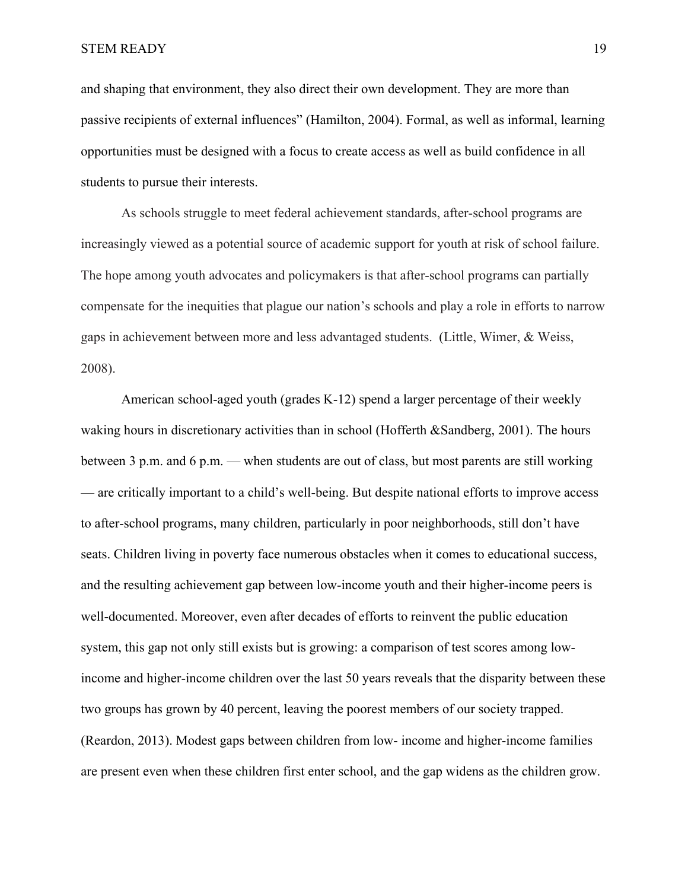and shaping that environment, they also direct their own development. They are more than passive recipients of external influences" (Hamilton, 2004). Formal, as well as informal, learning opportunities must be designed with a focus to create access as well as build confidence in all students to pursue their interests.

 As schools struggle to meet federal achievement standards, after-school programs are increasingly viewed as a potential source of academic support for youth at risk of school failure. The hope among youth advocates and policymakers is that after-school programs can partially compensate for the inequities that plague our nation's schools and play a role in efforts to narrow gaps in achievement between more and less advantaged students. (Little, Wimer, & Weiss, 2008).

American school-aged youth (grades K-12) spend a larger percentage of their weekly waking hours in discretionary activities than in school (Hofferth &Sandberg, 2001). The hours between 3 p.m. and 6 p.m. — when students are out of class, but most parents are still working — are critically important to a child's well-being. But despite national efforts to improve access to after-school programs, many children, particularly in poor neighborhoods, still don't have seats. Children living in poverty face numerous obstacles when it comes to educational success, and the resulting achievement gap between low-income youth and their higher-income peers is well-documented. Moreover, even after decades of efforts to reinvent the public education system, this gap not only still exists but is growing: a comparison of test scores among lowincome and higher-income children over the last 50 years reveals that the disparity between these two groups has grown by 40 percent, leaving the poorest members of our society trapped. (Reardon, 2013). Modest gaps between children from low- income and higher-income families are present even when these children first enter school, and the gap widens as the children grow.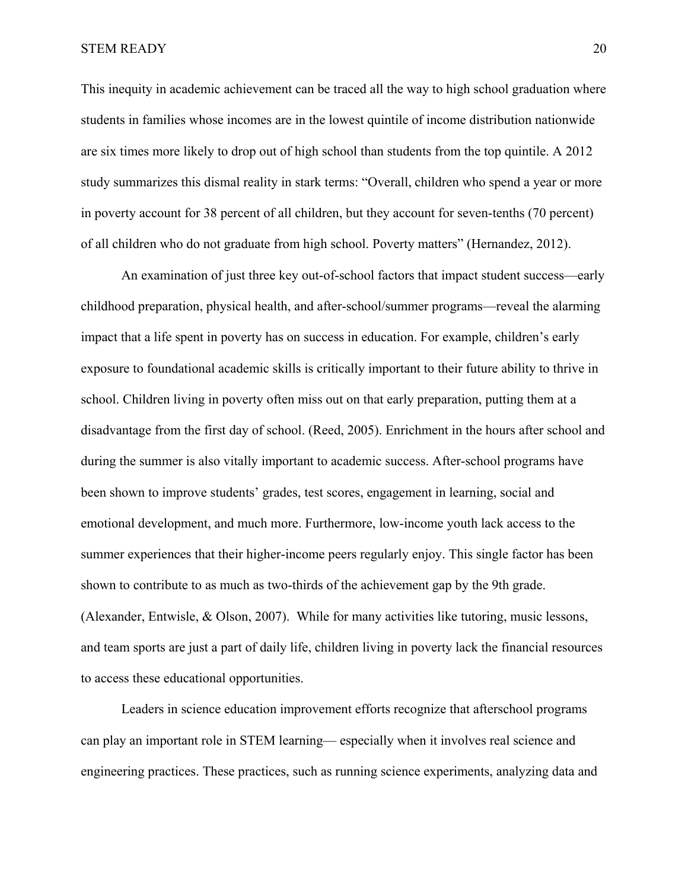This inequity in academic achievement can be traced all the way to high school graduation where students in families whose incomes are in the lowest quintile of income distribution nationwide are six times more likely to drop out of high school than students from the top quintile. A 2012 study summarizes this dismal reality in stark terms: "Overall, children who spend a year or more in poverty account for 38 percent of all children, but they account for seven-tenths (70 percent) of all children who do not graduate from high school. Poverty matters" (Hernandez, 2012).

An examination of just three key out-of-school factors that impact student success—early childhood preparation, physical health, and after-school/summer programs—reveal the alarming impact that a life spent in poverty has on success in education. For example, children's early exposure to foundational academic skills is critically important to their future ability to thrive in school. Children living in poverty often miss out on that early preparation, putting them at a disadvantage from the first day of school. (Reed, 2005). Enrichment in the hours after school and during the summer is also vitally important to academic success. After-school programs have been shown to improve students' grades, test scores, engagement in learning, social and emotional development, and much more. Furthermore, low-income youth lack access to the summer experiences that their higher-income peers regularly enjoy. This single factor has been shown to contribute to as much as two-thirds of the achievement gap by the 9th grade. (Alexander, Entwisle, & Olson, 2007). While for many activities like tutoring, music lessons, and team sports are just a part of daily life, children living in poverty lack the financial resources to access these educational opportunities.

Leaders in science education improvement efforts recognize that afterschool programs can play an important role in STEM learning— especially when it involves real science and engineering practices. These practices, such as running science experiments, analyzing data and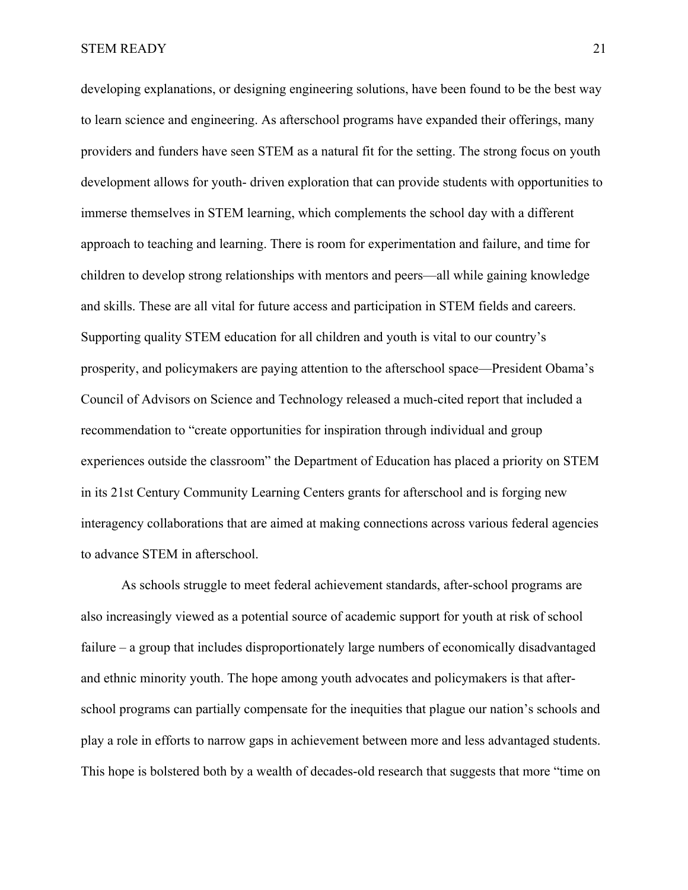developing explanations, or designing engineering solutions, have been found to be the best way to learn science and engineering. As afterschool programs have expanded their offerings, many providers and funders have seen STEM as a natural fit for the setting. The strong focus on youth development allows for youth- driven exploration that can provide students with opportunities to immerse themselves in STEM learning, which complements the school day with a different approach to teaching and learning. There is room for experimentation and failure, and time for children to develop strong relationships with mentors and peers—all while gaining knowledge and skills. These are all vital for future access and participation in STEM fields and careers. Supporting quality STEM education for all children and youth is vital to our country's prosperity, and policymakers are paying attention to the afterschool space—President Obama's Council of Advisors on Science and Technology released a much-cited report that included a recommendation to "create opportunities for inspiration through individual and group experiences outside the classroom" the Department of Education has placed a priority on STEM in its 21st Century Community Learning Centers grants for afterschool and is forging new interagency collaborations that are aimed at making connections across various federal agencies to advance STEM in afterschool.

As schools struggle to meet federal achievement standards, after-school programs are also increasingly viewed as a potential source of academic support for youth at risk of school failure – a group that includes disproportionately large numbers of economically disadvantaged and ethnic minority youth. The hope among youth advocates and policymakers is that afterschool programs can partially compensate for the inequities that plague our nation's schools and play a role in efforts to narrow gaps in achievement between more and less advantaged students. This hope is bolstered both by a wealth of decades-old research that suggests that more "time on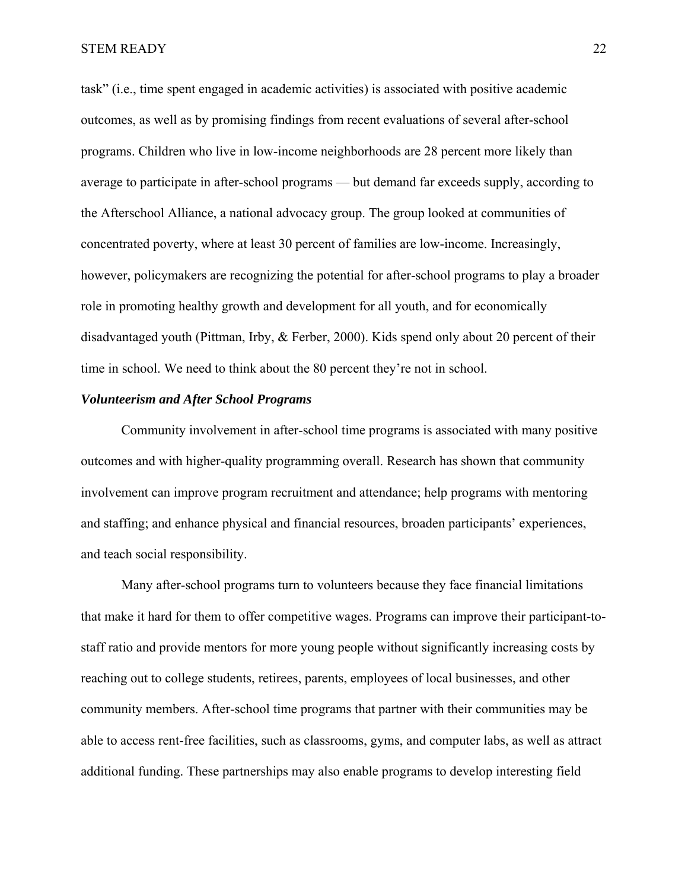task" (i.e., time spent engaged in academic activities) is associated with positive academic outcomes, as well as by promising findings from recent evaluations of several after-school programs. Children who live in low-income neighborhoods are 28 percent more likely than average to participate in after-school programs — but demand far exceeds supply, according to the Afterschool Alliance, a national advocacy group. The group looked at communities of concentrated poverty, where at least 30 percent of families are low-income. Increasingly, however, policymakers are recognizing the potential for after-school programs to play a broader role in promoting healthy growth and development for all youth, and for economically disadvantaged youth (Pittman, Irby, & Ferber, 2000). Kids spend only about 20 percent of their time in school. We need to think about the 80 percent they're not in school.

# *Volunteerism and After School Programs*

Community involvement in after-school time programs is associated with many positive outcomes and with higher-quality programming overall. Research has shown that community involvement can improve program recruitment and attendance; help programs with mentoring and staffing; and enhance physical and financial resources, broaden participants' experiences, and teach social responsibility.

Many after-school programs turn to volunteers because they face financial limitations that make it hard for them to offer competitive wages. Programs can improve their participant-tostaff ratio and provide mentors for more young people without significantly increasing costs by reaching out to college students, retirees, parents, employees of local businesses, and other community members. After-school time programs that partner with their communities may be able to access rent-free facilities, such as classrooms, gyms, and computer labs, as well as attract additional funding. These partnerships may also enable programs to develop interesting field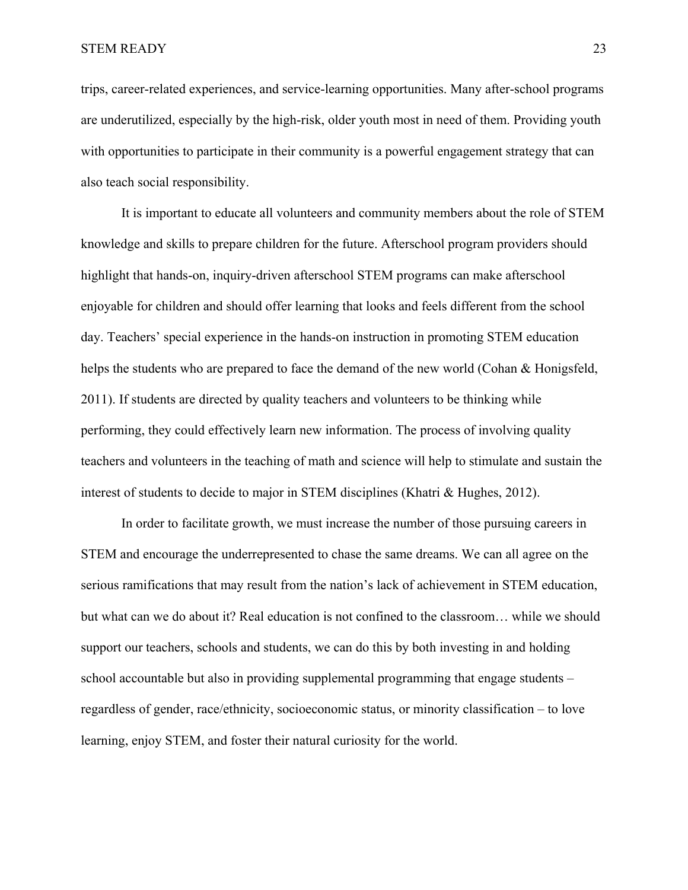trips, career-related experiences, and service-learning opportunities. Many after-school programs are underutilized, especially by the high-risk, older youth most in need of them. Providing youth with opportunities to participate in their community is a powerful engagement strategy that can also teach social responsibility.

It is important to educate all volunteers and community members about the role of STEM knowledge and skills to prepare children for the future. Afterschool program providers should highlight that hands-on, inquiry-driven afterschool STEM programs can make afterschool enjoyable for children and should offer learning that looks and feels different from the school day. Teachers' special experience in the hands-on instruction in promoting STEM education helps the students who are prepared to face the demand of the new world (Cohan & Honigsfeld, 2011). If students are directed by quality teachers and volunteers to be thinking while performing, they could effectively learn new information. The process of involving quality teachers and volunteers in the teaching of math and science will help to stimulate and sustain the interest of students to decide to major in STEM disciplines (Khatri & Hughes, 2012).

In order to facilitate growth, we must increase the number of those pursuing careers in STEM and encourage the underrepresented to chase the same dreams. We can all agree on the serious ramifications that may result from the nation's lack of achievement in STEM education, but what can we do about it? Real education is not confined to the classroom… while we should support our teachers, schools and students, we can do this by both investing in and holding school accountable but also in providing supplemental programming that engage students – regardless of gender, race/ethnicity, socioeconomic status, or minority classification – to love learning, enjoy STEM, and foster their natural curiosity for the world.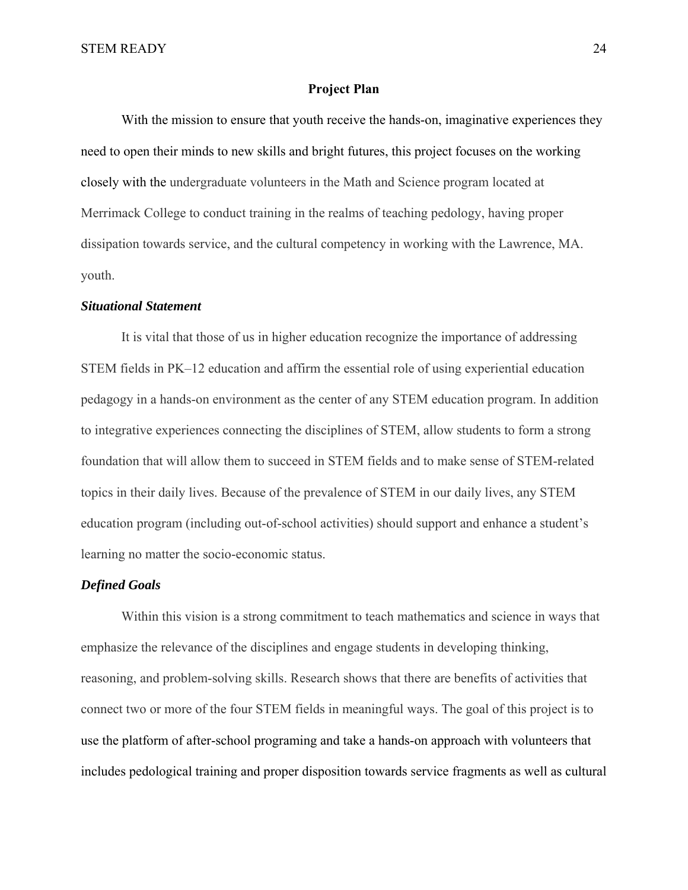# **Project Plan**

With the mission to ensure that youth receive the hands-on, imaginative experiences they need to open their minds to new skills and bright futures, this project focuses on the working closely with the undergraduate volunteers in the Math and Science program located at Merrimack College to conduct training in the realms of teaching pedology, having proper dissipation towards service, and the cultural competency in working with the Lawrence, MA. youth.

#### *Situational Statement*

It is vital that those of us in higher education recognize the importance of addressing STEM fields in PK–12 education and affirm the essential role of using experiential education pedagogy in a hands-on environment as the center of any STEM education program. In addition to integrative experiences connecting the disciplines of STEM, allow students to form a strong foundation that will allow them to succeed in STEM fields and to make sense of STEM-related topics in their daily lives. Because of the prevalence of STEM in our daily lives, any STEM education program (including out-of-school activities) should support and enhance a student's learning no matter the socio-economic status.

# *Defined Goals*

Within this vision is a strong commitment to teach mathematics and science in ways that emphasize the relevance of the disciplines and engage students in developing thinking, reasoning, and problem-solving skills. Research shows that there are benefits of activities that connect two or more of the four STEM fields in meaningful ways. The goal of this project is to use the platform of after-school programing and take a hands-on approach with volunteers that includes pedological training and proper disposition towards service fragments as well as cultural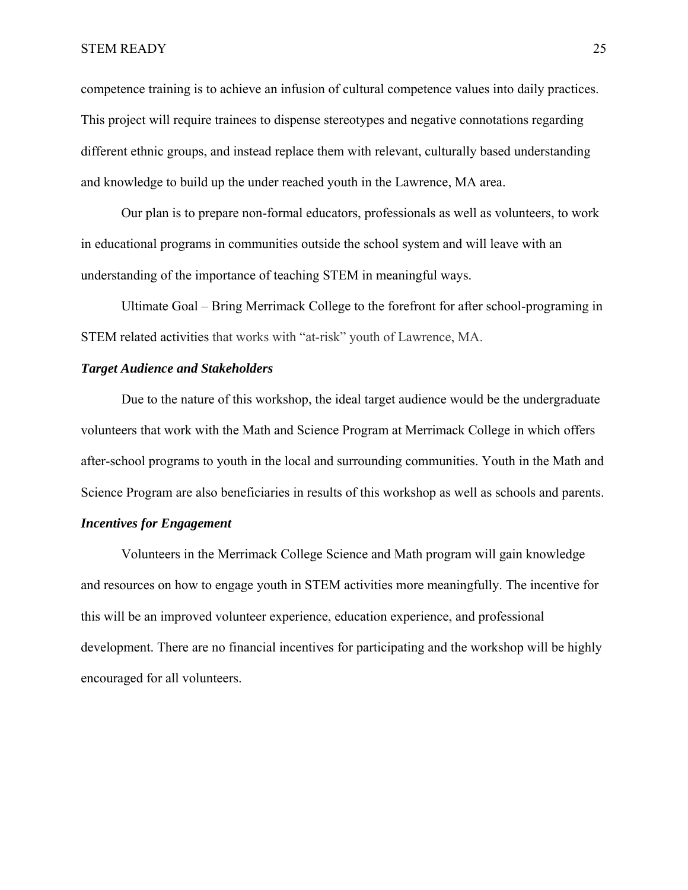competence training is to achieve an infusion of cultural competence values into daily practices. This project will require trainees to dispense stereotypes and negative connotations regarding different ethnic groups, and instead replace them with relevant, culturally based understanding and knowledge to build up the under reached youth in the Lawrence, MA area.

Our plan is to prepare non-formal educators, professionals as well as volunteers, to work in educational programs in communities outside the school system and will leave with an understanding of the importance of teaching STEM in meaningful ways.

Ultimate Goal – Bring Merrimack College to the forefront for after school-programing in STEM related activities that works with "at-risk" youth of Lawrence, MA.

# *Target Audience and Stakeholders*

Due to the nature of this workshop, the ideal target audience would be the undergraduate volunteers that work with the Math and Science Program at Merrimack College in which offers after-school programs to youth in the local and surrounding communities. Youth in the Math and Science Program are also beneficiaries in results of this workshop as well as schools and parents.

# *Incentives for Engagement*

Volunteers in the Merrimack College Science and Math program will gain knowledge and resources on how to engage youth in STEM activities more meaningfully. The incentive for this will be an improved volunteer experience, education experience, and professional development. There are no financial incentives for participating and the workshop will be highly encouraged for all volunteers.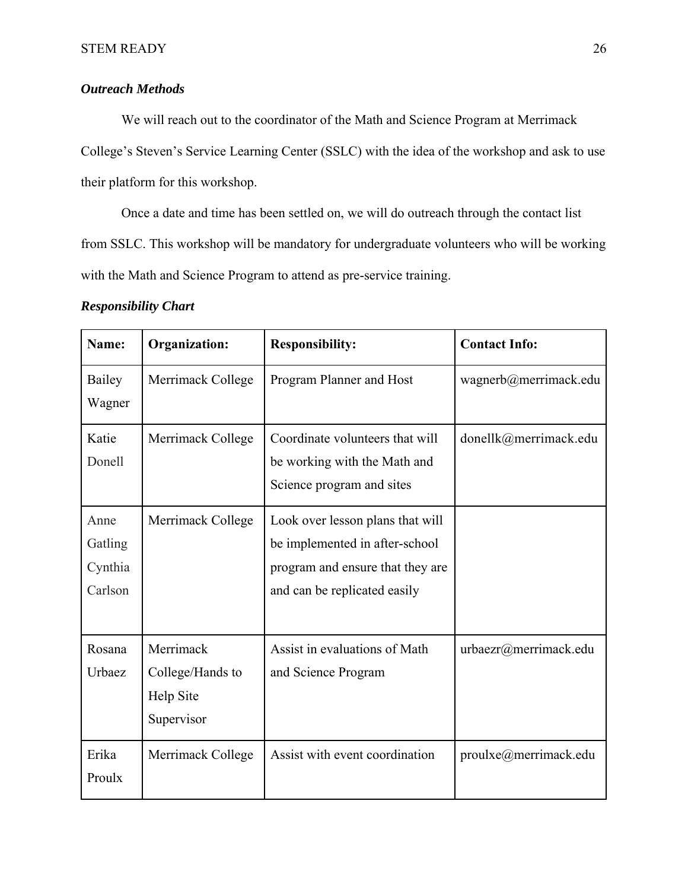# *Outreach Methods*

We will reach out to the coordinator of the Math and Science Program at Merrimack College's Steven's Service Learning Center (SSLC) with the idea of the workshop and ask to use their platform for this workshop.

Once a date and time has been settled on, we will do outreach through the contact list from SSLC. This workshop will be mandatory for undergraduate volunteers who will be working with the Math and Science Program to attend as pre-service training.

# *Responsibility Chart*

| Name:   | <b>Organization:</b> | <b>Responsibility:</b>           | <b>Contact Info:</b>  |
|---------|----------------------|----------------------------------|-----------------------|
| Bailey  | Merrimack College    | Program Planner and Host         | wagnerb@merrimack.edu |
| Wagner  |                      |                                  |                       |
| Katie   | Merrimack College    | Coordinate volunteers that will  | donellk@merrimack.edu |
| Donell  |                      | be working with the Math and     |                       |
|         |                      | Science program and sites        |                       |
| Anne    | Merrimack College    | Look over lesson plans that will |                       |
| Gatling |                      | be implemented in after-school   |                       |
| Cynthia |                      | program and ensure that they are |                       |
| Carlson |                      | and can be replicated easily     |                       |
|         |                      |                                  |                       |
| Rosana  | Merrimack            | Assist in evaluations of Math    | urbaezr@merrimack.edu |
| Urbaez  | College/Hands to     | and Science Program              |                       |
|         | Help Site            |                                  |                       |
|         | Supervisor           |                                  |                       |
| Erika   | Merrimack College    | Assist with event coordination   | proulxe@merrimack.edu |
| Proulx  |                      |                                  |                       |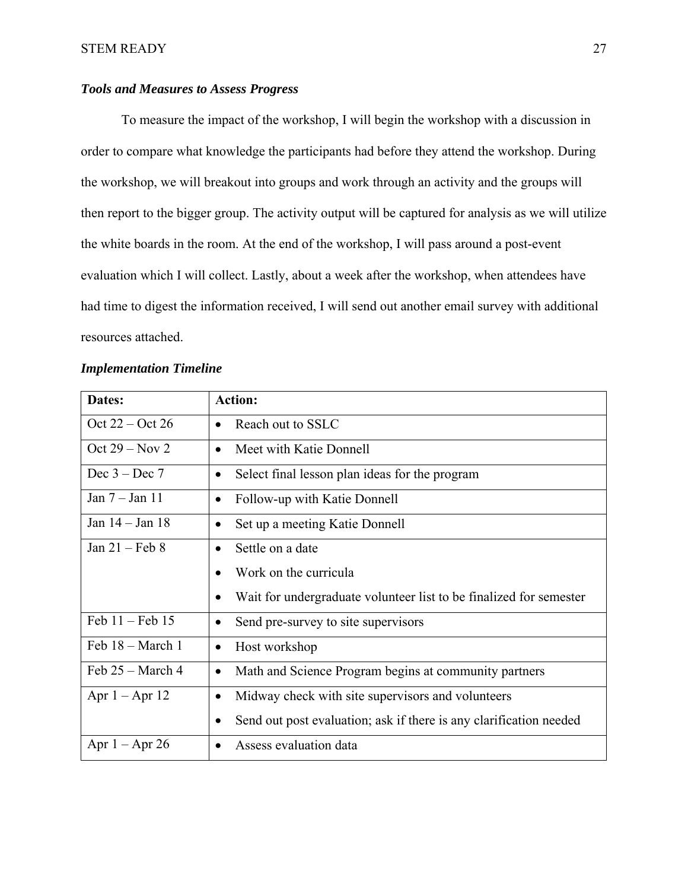# *Tools and Measures to Assess Progress*

 To measure the impact of the workshop, I will begin the workshop with a discussion in order to compare what knowledge the participants had before they attend the workshop. During the workshop, we will breakout into groups and work through an activity and the groups will then report to the bigger group. The activity output will be captured for analysis as we will utilize the white boards in the room. At the end of the workshop, I will pass around a post-event evaluation which I will collect. Lastly, about a week after the workshop, when attendees have had time to digest the information received, I will send out another email survey with additional resources attached.

|  | <b>Implementation Timeline</b> |  |
|--|--------------------------------|--|
|--|--------------------------------|--|

| Dates:             | <b>Action:</b>                                                     |
|--------------------|--------------------------------------------------------------------|
| Oct 22 – Oct 26    | Reach out to SSLC<br>$\bullet$                                     |
| Oct $29 - Nov 2$   | Meet with Katie Donnell<br>$\bullet$                               |
| Dec $3 - Dec 7$    | Select final lesson plan ideas for the program<br>$\bullet$        |
| Jan $7 -$ Jan 11   | Follow-up with Katie Donnell<br>$\bullet$                          |
| Jan 14 - Jan 18    | Set up a meeting Katie Donnell<br>$\bullet$                        |
| Jan $21$ – Feb 8   | Settle on a date<br>$\bullet$                                      |
|                    | Work on the curricula                                              |
|                    | Wait for undergraduate volunteer list to be finalized for semester |
| Feb $11 -$ Feb 15  | Send pre-survey to site supervisors<br>$\bullet$                   |
| Feb 18 - March 1   | Host workshop<br>$\bullet$                                         |
| Feb $25 - March 4$ | Math and Science Program begins at community partners<br>$\bullet$ |
| Apr $1 -$ Apr $12$ | Midway check with site supervisors and volunteers<br>$\bullet$     |
|                    | Send out post evaluation; ask if there is any clarification needed |
| Apr $1 -$ Apr 26   | Assess evaluation data                                             |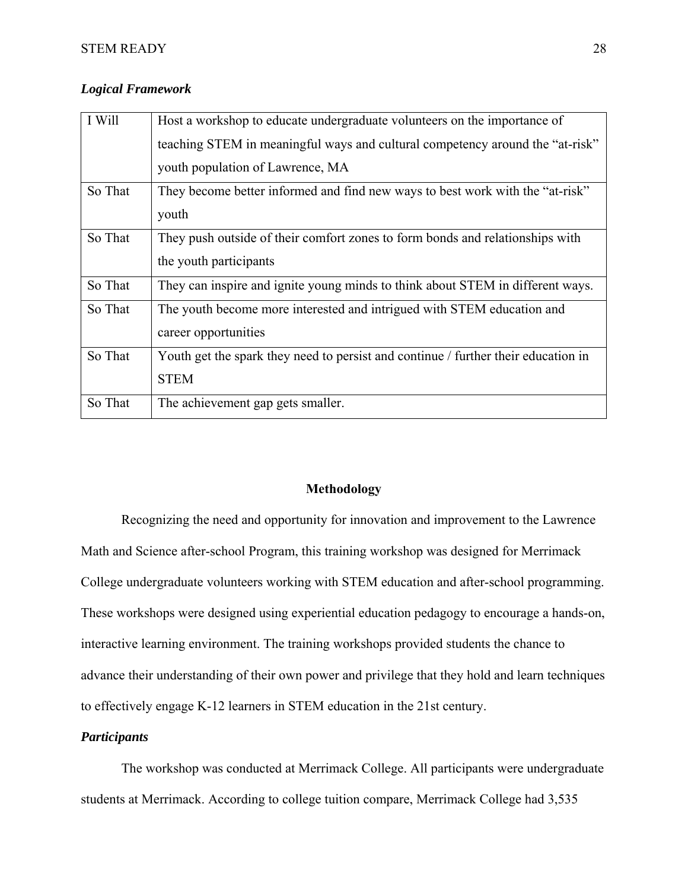|  | <b>Logical Framework</b> |
|--|--------------------------|
|--|--------------------------|

| I Will  | Host a workshop to educate undergraduate volunteers on the importance of           |
|---------|------------------------------------------------------------------------------------|
|         | teaching STEM in meaningful ways and cultural competency around the "at-risk"      |
|         | youth population of Lawrence, MA                                                   |
| So That | They become better informed and find new ways to best work with the "at-risk"      |
|         | youth                                                                              |
| So That | They push outside of their comfort zones to form bonds and relationships with      |
|         | the youth participants                                                             |
| So That | They can inspire and ignite young minds to think about STEM in different ways.     |
| So That | The youth become more interested and intrigued with STEM education and             |
|         | career opportunities                                                               |
| So That | Youth get the spark they need to persist and continue / further their education in |
|         | <b>STEM</b>                                                                        |
| So That | The achievement gap gets smaller.                                                  |

# **Methodology**

 Recognizing the need and opportunity for innovation and improvement to the Lawrence Math and Science after-school Program, this training workshop was designed for Merrimack College undergraduate volunteers working with STEM education and after-school programming. These workshops were designed using experiential education pedagogy to encourage a hands-on, interactive learning environment. The training workshops provided students the chance to advance their understanding of their own power and privilege that they hold and learn techniques to effectively engage K-12 learners in STEM education in the 21st century.

# *Participants*

 The workshop was conducted at Merrimack College. All participants were undergraduate students at Merrimack. According to college tuition compare, Merrimack College had 3,535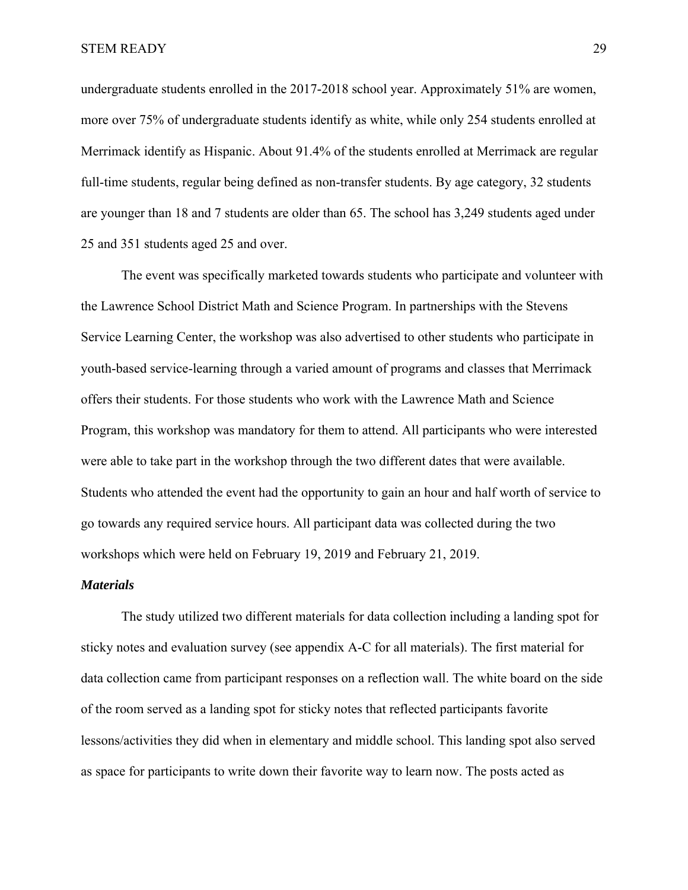undergraduate students enrolled in the 2017-2018 school year. Approximately 51% are women, more over 75% of undergraduate students identify as white, while only 254 students enrolled at Merrimack identify as Hispanic. About 91.4% of the students enrolled at Merrimack are regular full-time students, regular being defined as non-transfer students. By age category, 32 students are younger than 18 and 7 students are older than 65. The school has 3,249 students aged under 25 and 351 students aged 25 and over.

The event was specifically marketed towards students who participate and volunteer with the Lawrence School District Math and Science Program. In partnerships with the Stevens Service Learning Center, the workshop was also advertised to other students who participate in youth-based service-learning through a varied amount of programs and classes that Merrimack offers their students. For those students who work with the Lawrence Math and Science Program, this workshop was mandatory for them to attend. All participants who were interested were able to take part in the workshop through the two different dates that were available. Students who attended the event had the opportunity to gain an hour and half worth of service to go towards any required service hours. All participant data was collected during the two workshops which were held on February 19, 2019 and February 21, 2019.

#### *Materials*

The study utilized two different materials for data collection including a landing spot for sticky notes and evaluation survey (see appendix A-C for all materials). The first material for data collection came from participant responses on a reflection wall. The white board on the side of the room served as a landing spot for sticky notes that reflected participants favorite lessons/activities they did when in elementary and middle school. This landing spot also served as space for participants to write down their favorite way to learn now. The posts acted as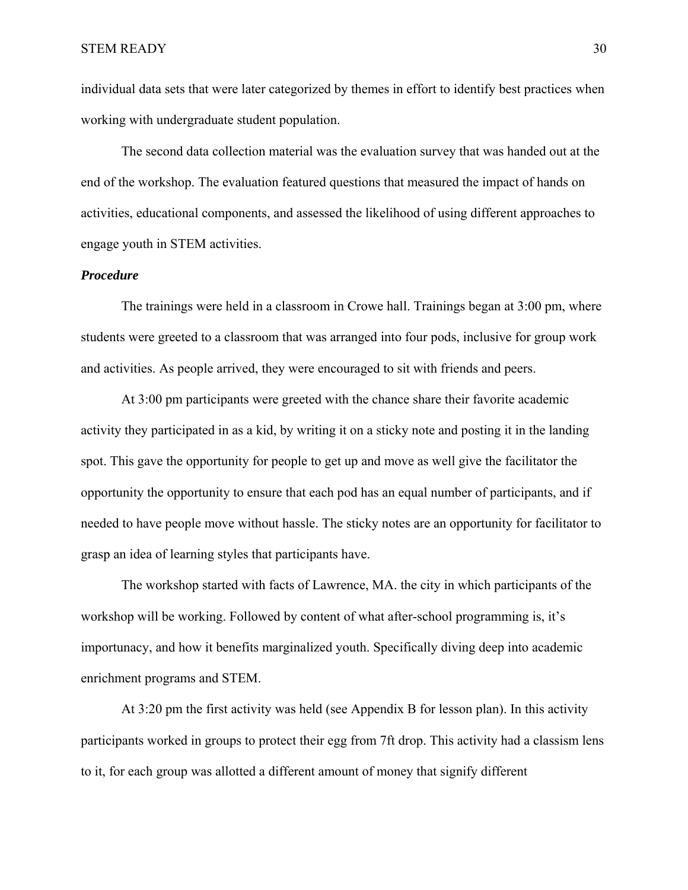individual data sets that were later categorized by themes in effort to identify best practices when working with undergraduate student population.

The second data collection material was the evaluation survey that was handed out at the end of the workshop. The evaluation featured questions that measured the impact of hands on activities, educational components, and assessed the likelihood of using different approaches to engage youth in STEM activities.

# *Procedure*

The trainings were held in a classroom in Crowe hall. Trainings began at 3:00 pm, where students were greeted to a classroom that was arranged into four pods, inclusive for group work and activities. As people arrived, they were encouraged to sit with friends and peers.

At 3:00 pm participants were greeted with the chance share their favorite academic activity they participated in as a kid, by writing it on a sticky note and posting it in the landing spot. This gave the opportunity for people to get up and move as well give the facilitator the opportunity the opportunity to ensure that each pod has an equal number of participants, and if needed to have people move without hassle. The sticky notes are an opportunity for facilitator to grasp an idea of learning styles that participants have.

The workshop started with facts of Lawrence, MA. the city in which participants of the workshop will be working. Followed by content of what after-school programming is, it's importunacy, and how it benefits marginalized youth. Specifically diving deep into academic enrichment programs and STEM.

At 3:20 pm the first activity was held (see Appendix B for lesson plan). In this activity participants worked in groups to protect their egg from 7ft drop. This activity had a classism lens to it, for each group was allotted a different amount of money that signify different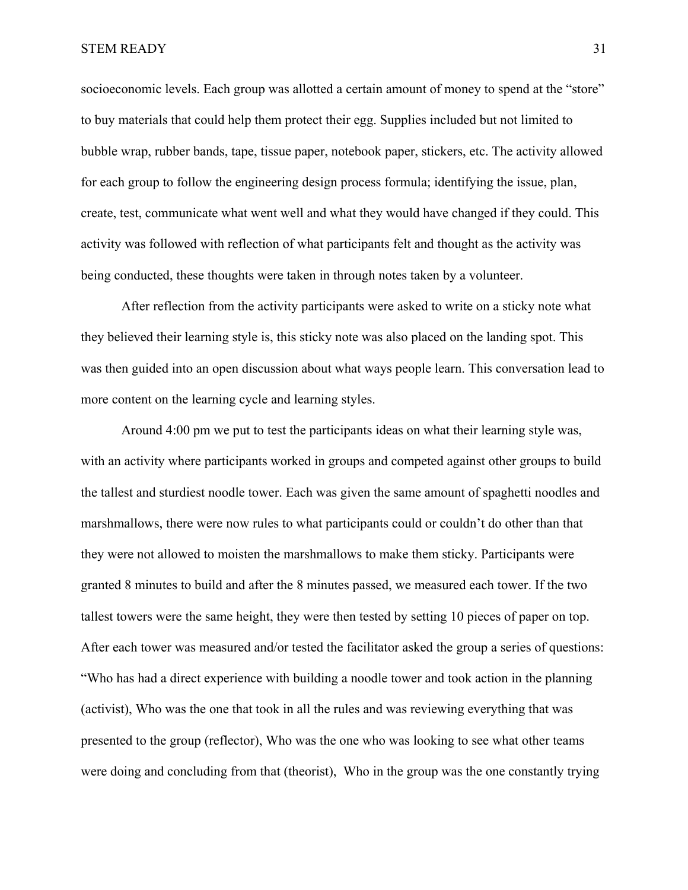socioeconomic levels. Each group was allotted a certain amount of money to spend at the "store" to buy materials that could help them protect their egg. Supplies included but not limited to bubble wrap, rubber bands, tape, tissue paper, notebook paper, stickers, etc. The activity allowed for each group to follow the engineering design process formula; identifying the issue, plan, create, test, communicate what went well and what they would have changed if they could. This activity was followed with reflection of what participants felt and thought as the activity was being conducted, these thoughts were taken in through notes taken by a volunteer.

After reflection from the activity participants were asked to write on a sticky note what they believed their learning style is, this sticky note was also placed on the landing spot. This was then guided into an open discussion about what ways people learn. This conversation lead to more content on the learning cycle and learning styles.

Around 4:00 pm we put to test the participants ideas on what their learning style was, with an activity where participants worked in groups and competed against other groups to build the tallest and sturdiest noodle tower. Each was given the same amount of spaghetti noodles and marshmallows, there were now rules to what participants could or couldn't do other than that they were not allowed to moisten the marshmallows to make them sticky. Participants were granted 8 minutes to build and after the 8 minutes passed, we measured each tower. If the two tallest towers were the same height, they were then tested by setting 10 pieces of paper on top. After each tower was measured and/or tested the facilitator asked the group a series of questions: "Who has had a direct experience with building a noodle tower and took action in the planning (activist), Who was the one that took in all the rules and was reviewing everything that was presented to the group (reflector), Who was the one who was looking to see what other teams were doing and concluding from that (theorist), Who in the group was the one constantly trying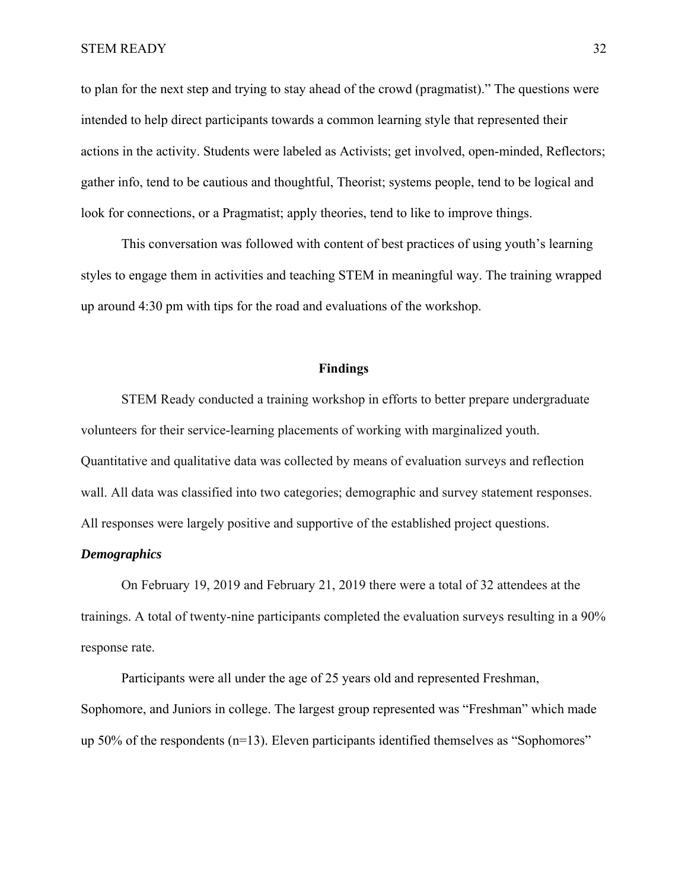to plan for the next step and trying to stay ahead of the crowd (pragmatist)." The questions were intended to help direct participants towards a common learning style that represented their actions in the activity. Students were labeled as Activists; get involved, open-minded, Reflectors; gather info, tend to be cautious and thoughtful, Theorist; systems people, tend to be logical and look for connections, or a Pragmatist; apply theories, tend to like to improve things.

This conversation was followed with content of best practices of using youth's learning styles to engage them in activities and teaching STEM in meaningful way. The training wrapped up around 4:30 pm with tips for the road and evaluations of the workshop.

# **Findings**

STEM Ready conducted a training workshop in efforts to better prepare undergraduate volunteers for their service-learning placements of working with marginalized youth. Quantitative and qualitative data was collected by means of evaluation surveys and reflection wall. All data was classified into two categories; demographic and survey statement responses. All responses were largely positive and supportive of the established project questions.

# *Demographics*

On February 19, 2019 and February 21, 2019 there were a total of 32 attendees at the trainings. A total of twenty-nine participants completed the evaluation surveys resulting in a 90% response rate.

Participants were all under the age of 25 years old and represented Freshman, Sophomore, and Juniors in college. The largest group represented was "Freshman" which made up 50% of the respondents (n=13). Eleven participants identified themselves as "Sophomores"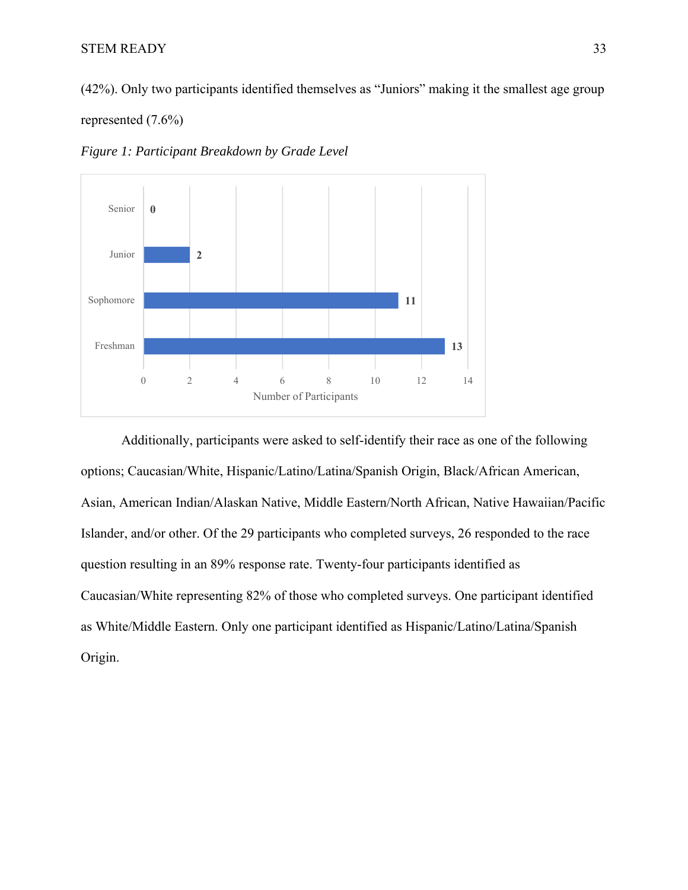(42%). Only two participants identified themselves as "Juniors" making it the smallest age group

# represented (7.6%)

*Figure 1: Participant Breakdown by Grade Level* 



Additionally, participants were asked to self-identify their race as one of the following options; Caucasian/White, Hispanic/Latino/Latina/Spanish Origin, Black/African American, Asian, American Indian/Alaskan Native, Middle Eastern/North African, Native Hawaiian/Pacific Islander, and/or other. Of the 29 participants who completed surveys, 26 responded to the race question resulting in an 89% response rate. Twenty-four participants identified as Caucasian/White representing 82% of those who completed surveys. One participant identified as White/Middle Eastern. Only one participant identified as Hispanic/Latino/Latina/Spanish Origin.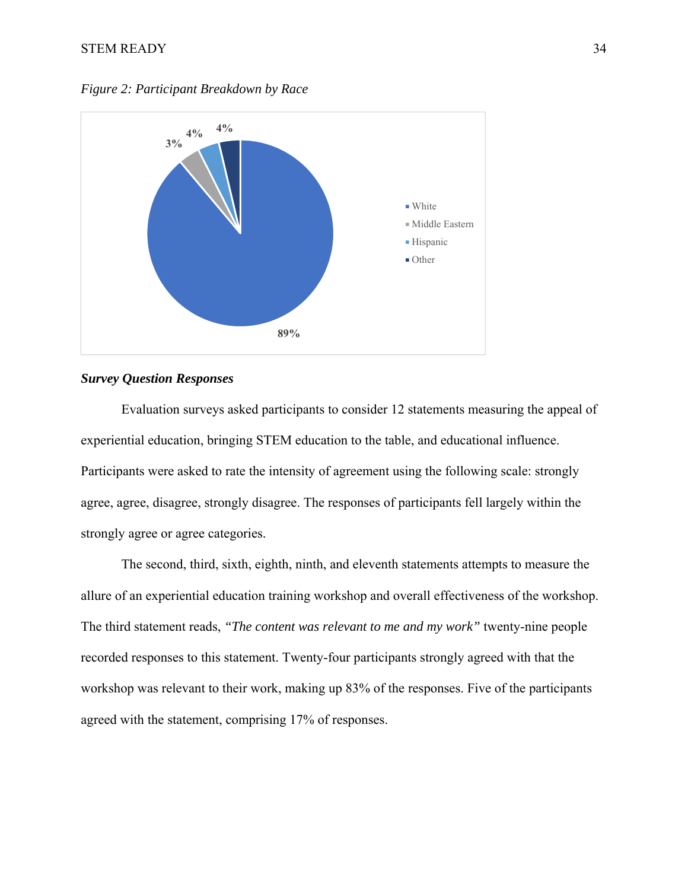



# *Survey Question Responses*

Evaluation surveys asked participants to consider 12 statements measuring the appeal of experiential education, bringing STEM education to the table, and educational influence. Participants were asked to rate the intensity of agreement using the following scale: strongly agree, agree, disagree, strongly disagree. The responses of participants fell largely within the strongly agree or agree categories.

The second, third, sixth, eighth, ninth, and eleventh statements attempts to measure the allure of an experiential education training workshop and overall effectiveness of the workshop. The third statement reads, *"The content was relevant to me and my work"* twenty-nine people recorded responses to this statement. Twenty-four participants strongly agreed with that the workshop was relevant to their work, making up 83% of the responses. Five of the participants agreed with the statement, comprising 17% of responses.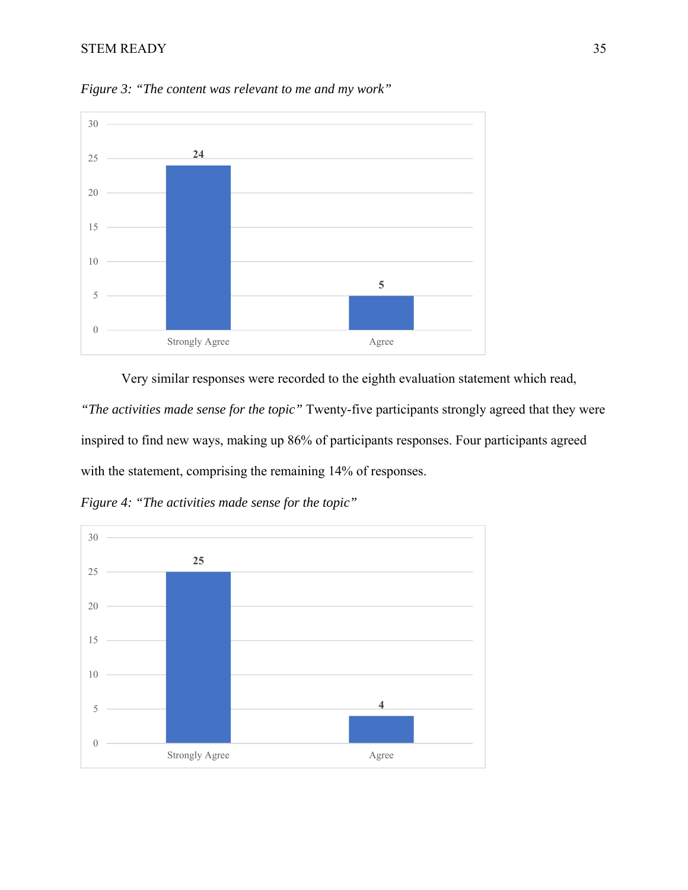

*Figure 3: "The content was relevant to me and my work"* 

 Very similar responses were recorded to the eighth evaluation statement which read, *"The activities made sense for the topic"* Twenty-five participants strongly agreed that they were inspired to find new ways, making up 86% of participants responses. Four participants agreed with the statement, comprising the remaining 14% of responses.

*Figure 4: "The activities made sense for the topic"* 

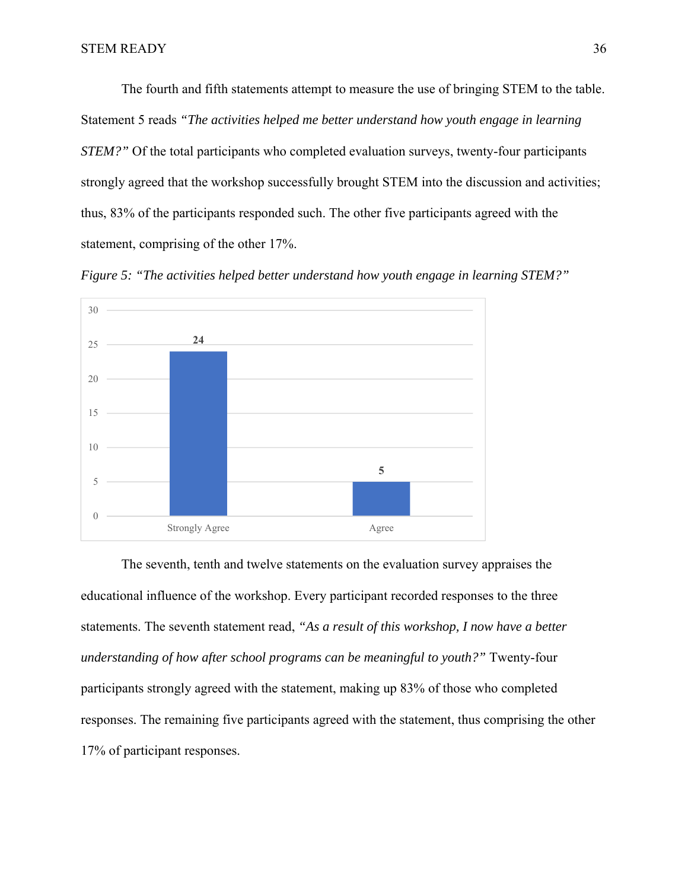The fourth and fifth statements attempt to measure the use of bringing STEM to the table. Statement 5 reads *"The activities helped me better understand how youth engage in learning STEM?"* Of the total participants who completed evaluation surveys, twenty-four participants strongly agreed that the workshop successfully brought STEM into the discussion and activities; thus, 83% of the participants responded such. The other five participants agreed with the statement, comprising of the other 17%.





The seventh, tenth and twelve statements on the evaluation survey appraises the educational influence of the workshop. Every participant recorded responses to the three statements. The seventh statement read, *"As a result of this workshop, I now have a better understanding of how after school programs can be meaningful to youth?"* Twenty-four participants strongly agreed with the statement, making up 83% of those who completed responses. The remaining five participants agreed with the statement, thus comprising the other 17% of participant responses.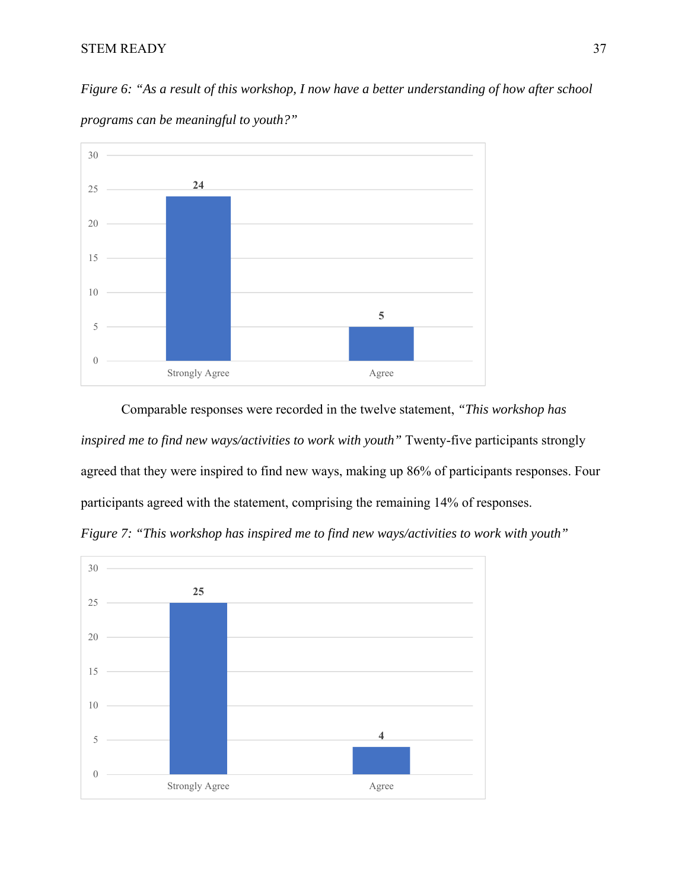*Figure 6: "As a result of this workshop, I now have a better understanding of how after school* 



*programs can be meaningful to youth?"* 

Comparable responses were recorded in the twelve statement, *"This workshop has inspired me to find new ways/activities to work with youth"* Twenty-five participants strongly agreed that they were inspired to find new ways, making up 86% of participants responses. Four participants agreed with the statement, comprising the remaining 14% of responses.



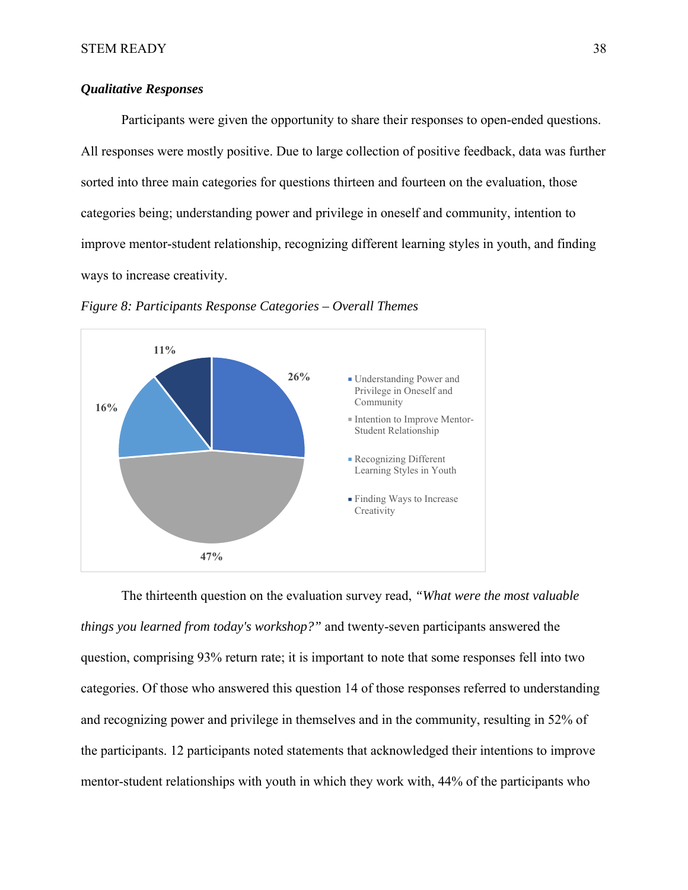# *Qualitative Responses*

 Participants were given the opportunity to share their responses to open-ended questions. All responses were mostly positive. Due to large collection of positive feedback, data was further sorted into three main categories for questions thirteen and fourteen on the evaluation, those categories being; understanding power and privilege in oneself and community, intention to improve mentor-student relationship, recognizing different learning styles in youth, and finding ways to increase creativity.



*Figure 8: Participants Response Categories – Overall Themes* 

The thirteenth question on the evaluation survey read, *"What were the most valuable things you learned from today's workshop?"* and twenty-seven participants answered the question, comprising 93% return rate; it is important to note that some responses fell into two categories. Of those who answered this question 14 of those responses referred to understanding and recognizing power and privilege in themselves and in the community, resulting in 52% of the participants. 12 participants noted statements that acknowledged their intentions to improve mentor-student relationships with youth in which they work with, 44% of the participants who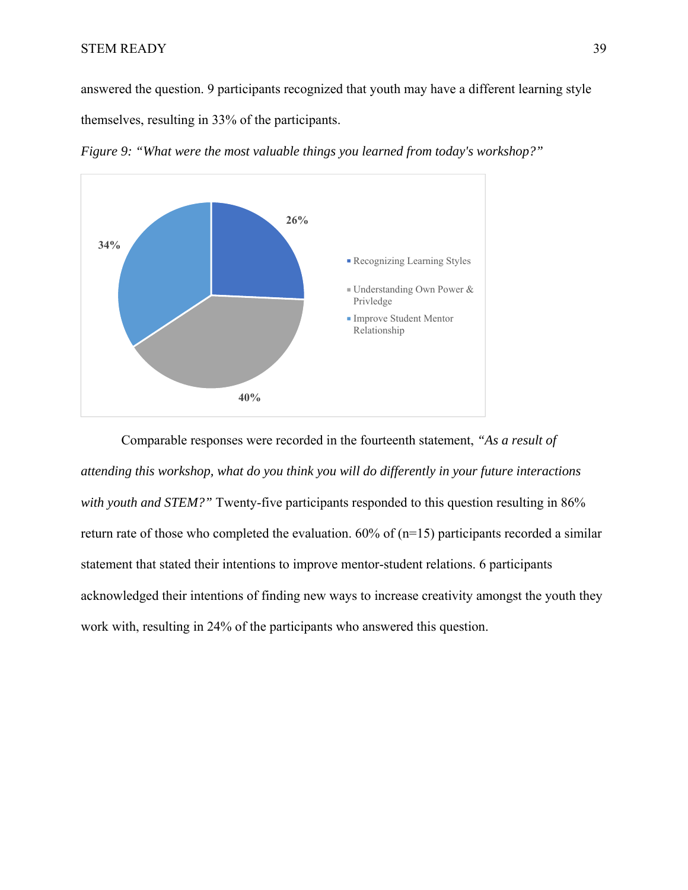answered the question. 9 participants recognized that youth may have a different learning style themselves, resulting in 33% of the participants.



*Figure 9: "What were the most valuable things you learned from today's workshop?"* 

Comparable responses were recorded in the fourteenth statement, *"As a result of attending this workshop, what do you think you will do differently in your future interactions*  with youth and STEM?" Twenty-five participants responded to this question resulting in 86% return rate of those who completed the evaluation.  $60\%$  of (n=15) participants recorded a similar statement that stated their intentions to improve mentor-student relations. 6 participants acknowledged their intentions of finding new ways to increase creativity amongst the youth they work with, resulting in 24% of the participants who answered this question.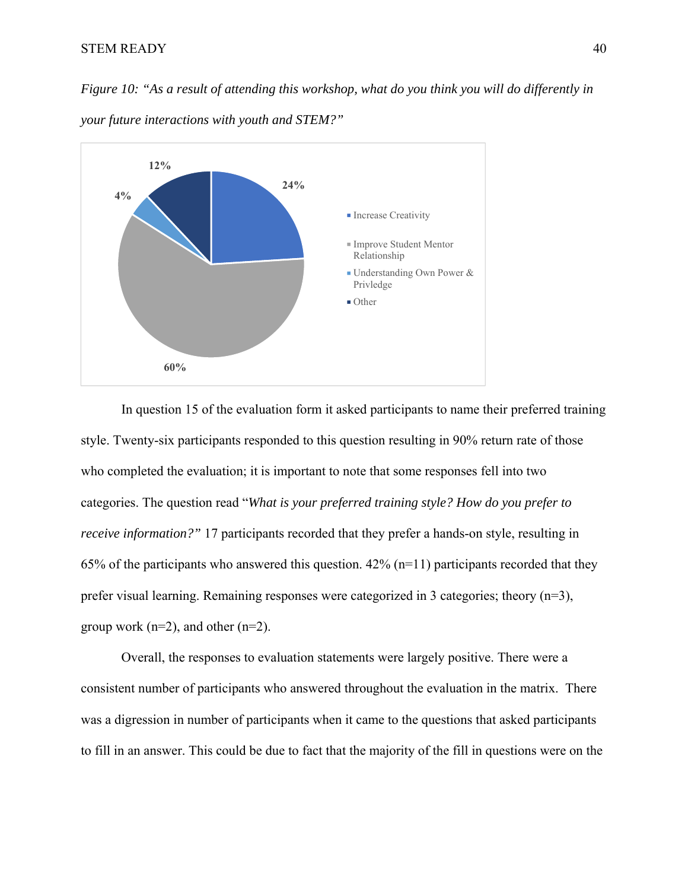*Figure 10: "As a result of attending this workshop, what do you think you will do differently in* 



*your future interactions with youth and STEM?"* 

In question 15 of the evaluation form it asked participants to name their preferred training style. Twenty-six participants responded to this question resulting in 90% return rate of those who completed the evaluation; it is important to note that some responses fell into two categories. The question read "*What is your preferred training style? How do you prefer to receive information?"* 17 participants recorded that they prefer a hands-on style, resulting in 65% of the participants who answered this question.  $42\%$  (n=11) participants recorded that they prefer visual learning. Remaining responses were categorized in 3 categories; theory (n=3), group work ( $n=2$ ), and other ( $n=2$ ).

Overall, the responses to evaluation statements were largely positive. There were a consistent number of participants who answered throughout the evaluation in the matrix. There was a digression in number of participants when it came to the questions that asked participants to fill in an answer. This could be due to fact that the majority of the fill in questions were on the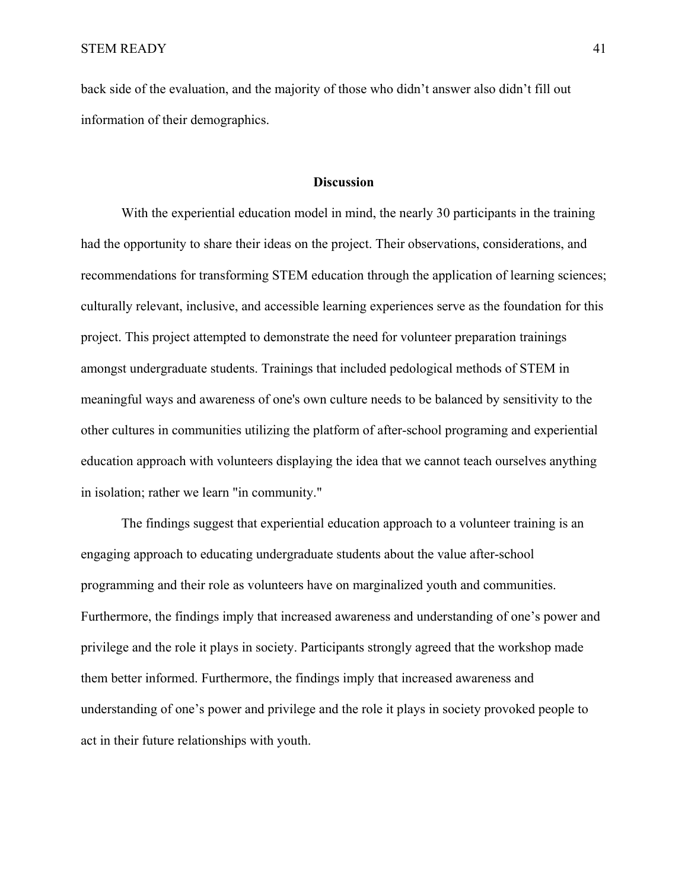back side of the evaluation, and the majority of those who didn't answer also didn't fill out information of their demographics.

# **Discussion**

With the experiential education model in mind, the nearly 30 participants in the training had the opportunity to share their ideas on the project. Their observations, considerations, and recommendations for transforming STEM education through the application of learning sciences; culturally relevant, inclusive, and accessible learning experiences serve as the foundation for this project. This project attempted to demonstrate the need for volunteer preparation trainings amongst undergraduate students. Trainings that included pedological methods of STEM in meaningful ways and awareness of one's own culture needs to be balanced by sensitivity to the other cultures in communities utilizing the platform of after-school programing and experiential education approach with volunteers displaying the idea that we cannot teach ourselves anything in isolation; rather we learn "in community."

The findings suggest that experiential education approach to a volunteer training is an engaging approach to educating undergraduate students about the value after-school programming and their role as volunteers have on marginalized youth and communities. Furthermore, the findings imply that increased awareness and understanding of one's power and privilege and the role it plays in society. Participants strongly agreed that the workshop made them better informed. Furthermore, the findings imply that increased awareness and understanding of one's power and privilege and the role it plays in society provoked people to act in their future relationships with youth.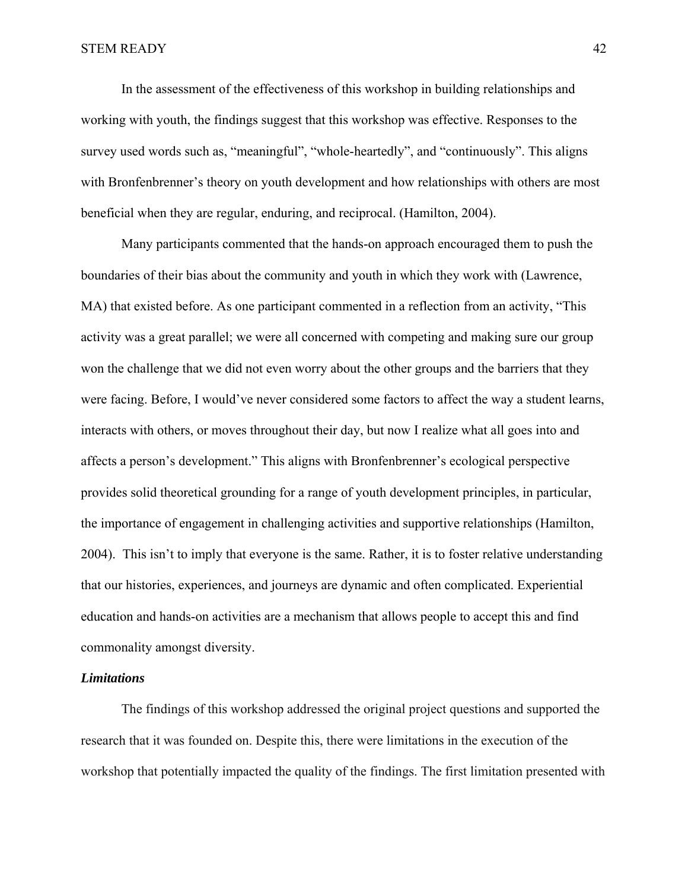In the assessment of the effectiveness of this workshop in building relationships and working with youth, the findings suggest that this workshop was effective. Responses to the survey used words such as, "meaningful", "whole-heartedly", and "continuously". This aligns with Bronfenbrenner's theory on youth development and how relationships with others are most beneficial when they are regular, enduring, and reciprocal. (Hamilton, 2004).

Many participants commented that the hands-on approach encouraged them to push the boundaries of their bias about the community and youth in which they work with (Lawrence, MA) that existed before. As one participant commented in a reflection from an activity, "This activity was a great parallel; we were all concerned with competing and making sure our group won the challenge that we did not even worry about the other groups and the barriers that they were facing. Before, I would've never considered some factors to affect the way a student learns, interacts with others, or moves throughout their day, but now I realize what all goes into and affects a person's development." This aligns with Bronfenbrenner's ecological perspective provides solid theoretical grounding for a range of youth development principles, in particular, the importance of engagement in challenging activities and supportive relationships (Hamilton, 2004). This isn't to imply that everyone is the same. Rather, it is to foster relative understanding that our histories, experiences, and journeys are dynamic and often complicated. Experiential education and hands-on activities are a mechanism that allows people to accept this and find commonality amongst diversity.

# *Limitations*

The findings of this workshop addressed the original project questions and supported the research that it was founded on. Despite this, there were limitations in the execution of the workshop that potentially impacted the quality of the findings. The first limitation presented with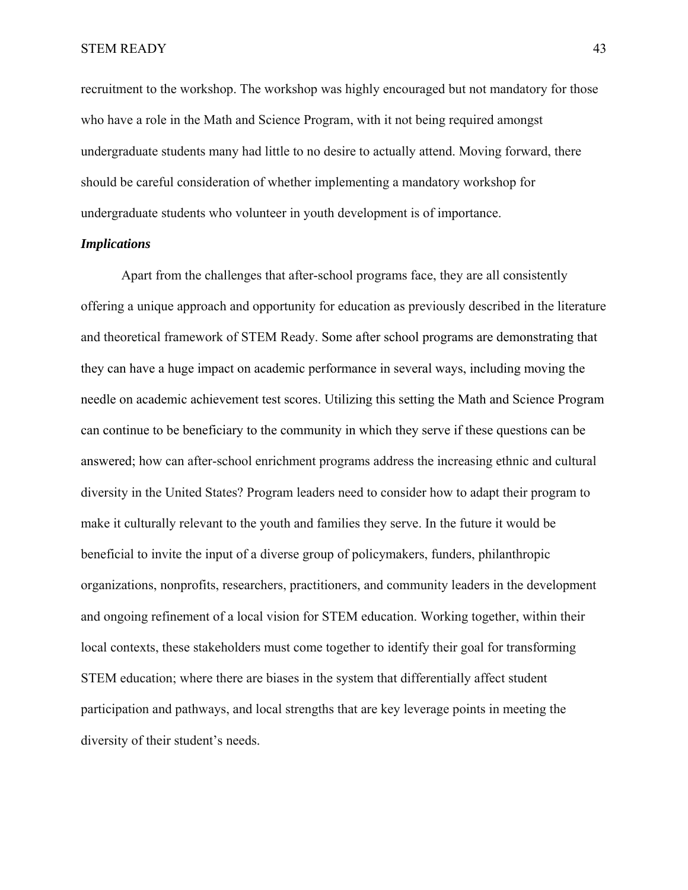recruitment to the workshop. The workshop was highly encouraged but not mandatory for those who have a role in the Math and Science Program, with it not being required amongst undergraduate students many had little to no desire to actually attend. Moving forward, there should be careful consideration of whether implementing a mandatory workshop for undergraduate students who volunteer in youth development is of importance.

# *Implications*

Apart from the challenges that after-school programs face, they are all consistently offering a unique approach and opportunity for education as previously described in the literature and theoretical framework of STEM Ready. Some after school programs are demonstrating that they can have a huge impact on academic performance in several ways, including moving the needle on academic achievement test scores. Utilizing this setting the Math and Science Program can continue to be beneficiary to the community in which they serve if these questions can be answered; how can after-school enrichment programs address the increasing ethnic and cultural diversity in the United States? Program leaders need to consider how to adapt their program to make it culturally relevant to the youth and families they serve. In the future it would be beneficial to invite the input of a diverse group of policymakers, funders, philanthropic organizations, nonprofits, researchers, practitioners, and community leaders in the development and ongoing refinement of a local vision for STEM education. Working together, within their local contexts, these stakeholders must come together to identify their goal for transforming STEM education; where there are biases in the system that differentially affect student participation and pathways, and local strengths that are key leverage points in meeting the diversity of their student's needs.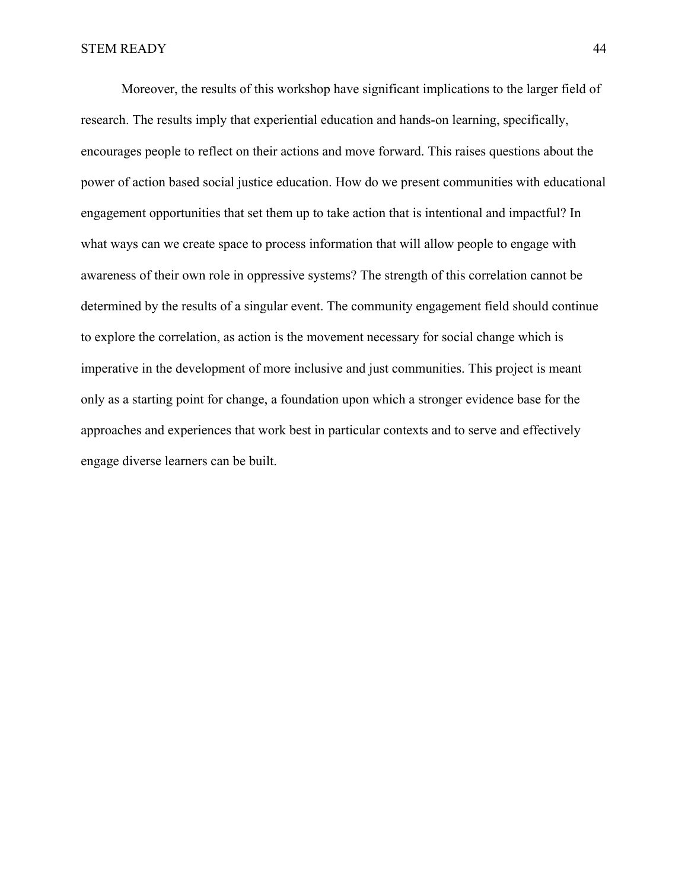Moreover, the results of this workshop have significant implications to the larger field of research. The results imply that experiential education and hands-on learning, specifically, encourages people to reflect on their actions and move forward. This raises questions about the power of action based social justice education. How do we present communities with educational engagement opportunities that set them up to take action that is intentional and impactful? In what ways can we create space to process information that will allow people to engage with awareness of their own role in oppressive systems? The strength of this correlation cannot be determined by the results of a singular event. The community engagement field should continue to explore the correlation, as action is the movement necessary for social change which is imperative in the development of more inclusive and just communities. This project is meant only as a starting point for change, a foundation upon which a stronger evidence base for the approaches and experiences that work best in particular contexts and to serve and effectively engage diverse learners can be built.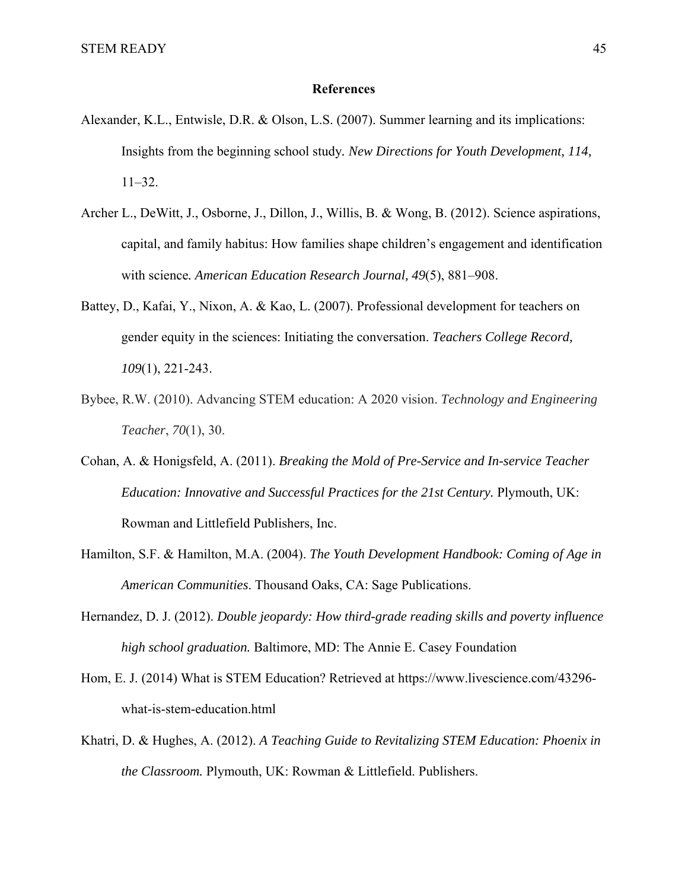# **References**

- Alexander, K.L., Entwisle, D.R. & Olson, L.S. (2007). Summer learning and its implications: Insights from the beginning school study*. New Directions for Youth Development, 114,* 11–32.
- Archer L., DeWitt, J., Osborne, J., Dillon, J., Willis, B. & Wong, B. (2012). Science aspirations, capital, and family habitus: How families shape children's engagement and identification with science*. American Education Research Journal, 49*(5), 881–908.
- Battey, D., Kafai, Y., Nixon, A. & Kao, L. (2007). Professional development for teachers on gender equity in the sciences: Initiating the conversation. *Teachers College Record, 109*(1), 221-243.
- Bybee, R.W. (2010). Advancing STEM education: A 2020 vision. *Technology and Engineering Teacher*, *70*(1), 30.
- Cohan, A. & Honigsfeld, A. (2011). *Breaking the Mold of Pre-Service and In-service Teacher Education: Innovative and Successful Practices for the 21st Century.* Plymouth, UK: Rowman and Littlefield Publishers, Inc.
- Hamilton, S.F. & Hamilton, M.A. (2004). *The Youth Development Handbook: Coming of Age in American Communities*. Thousand Oaks, CA: Sage Publications.
- Hernandez, D. J. (2012). *Double jeopardy: How third-grade reading skills and poverty influence high school graduation.* Baltimore, MD: The Annie E. Casey Foundation
- Hom, E. J. (2014) What is STEM Education? Retrieved at https://www.livescience.com/43296 what-is-stem-education.html
- Khatri, D. & Hughes, A. (2012). *A Teaching Guide to Revitalizing STEM Education: Phoenix in the Classroom.* Plymouth, UK: Rowman & Littlefield. Publishers.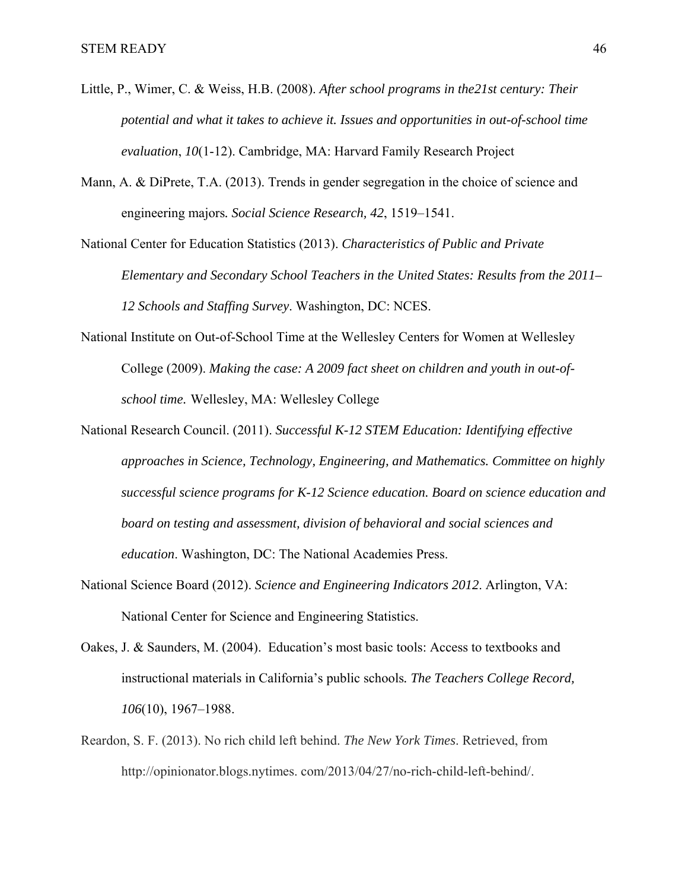- Little, P., Wimer, C. & Weiss, H.B. (2008). *After school programs in the21st century: Their potential and what it takes to achieve it. Issues and opportunities in out-of-school time evaluation*, *10*(1-12). Cambridge, MA: Harvard Family Research Project
- Mann, A. & DiPrete, T.A. (2013). Trends in gender segregation in the choice of science and engineering majors*. Social Science Research, 42*, 1519–1541.
- National Center for Education Statistics (2013). *Characteristics of Public and Private Elementary and Secondary School Teachers in the United States: Results from the 2011– 12 Schools and Staffing Survey*. Washington, DC: NCES.
- National Institute on Out-of-School Time at the Wellesley Centers for Women at Wellesley College (2009). *Making the case: A 2009 fact sheet on children and youth in out-ofschool time.* Wellesley, MA: Wellesley College
- National Research Council. (2011). *Successful K-12 STEM Education: Identifying effective approaches in Science, Technology, Engineering, and Mathematics. Committee on highly successful science programs for K-12 Science education. Board on science education and board on testing and assessment, division of behavioral and social sciences and education*. Washington, DC: The National Academies Press.
- National Science Board (2012). *Science and Engineering Indicators 2012*. Arlington, VA: National Center for Science and Engineering Statistics.
- Oakes, J. & Saunders, M. (2004). Education's most basic tools: Access to textbooks and instructional materials in California's public schools*. The Teachers College Record, 106*(10), 1967–1988.
- Reardon, S. F. (2013). No rich child left behind. *The New York Times*. Retrieved, from http://opinionator.blogs.nytimes. com/2013/04/27/no-rich-child-left-behind/.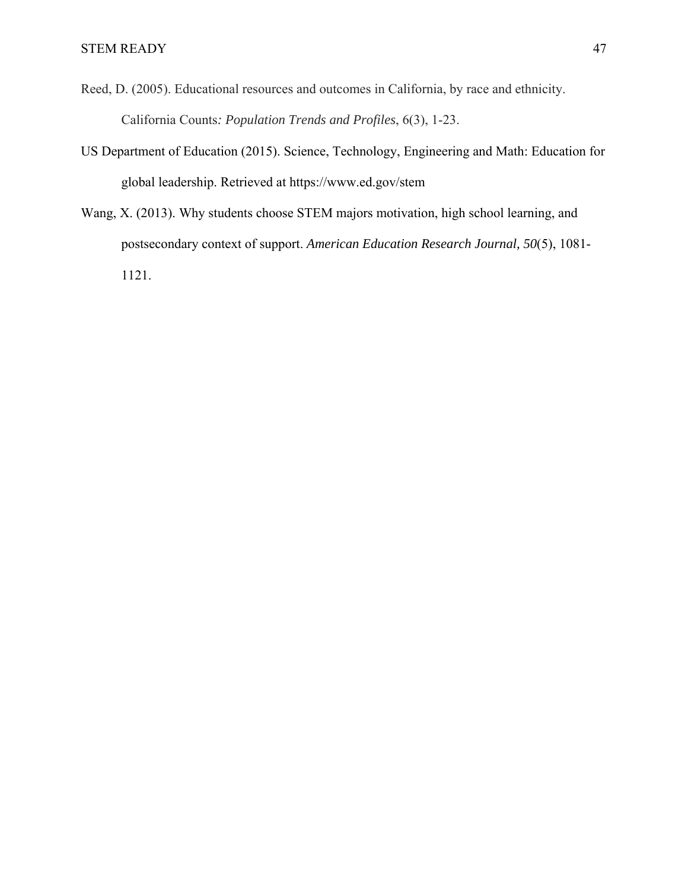- Reed, D. (2005). Educational resources and outcomes in California, by race and ethnicity. California Counts*: Population Trends and Profiles*, 6(3), 1-23.
- US Department of Education (2015). Science, Technology, Engineering and Math: Education for global leadership. Retrieved at https://www.ed.gov/stem
- Wang, X. (2013). Why students choose STEM majors motivation, high school learning, and postsecondary context of support. *American Education Research Journal, 50*(5), 1081- 1121.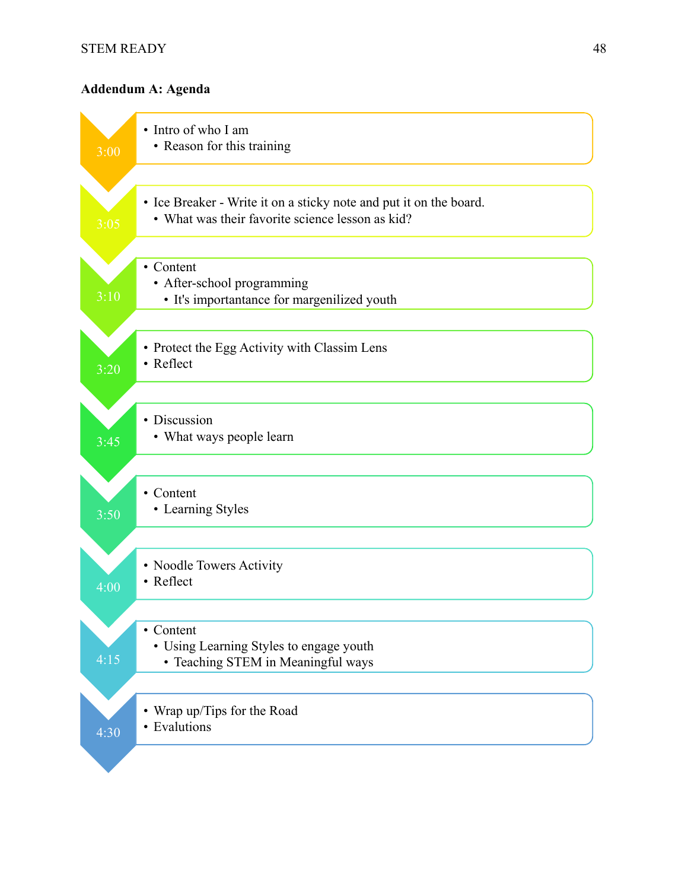# **Addendum A: Agenda**

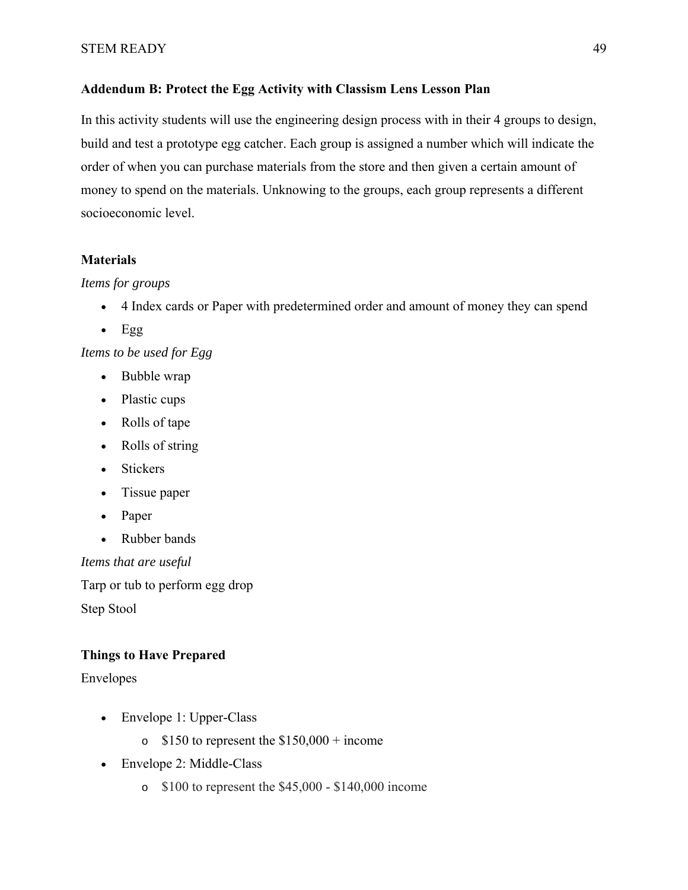# **Addendum B: Protect the Egg Activity with Classism Lens Lesson Plan**

In this activity students will use the engineering design process with in their 4 groups to design, build and test a prototype egg catcher. Each group is assigned a number which will indicate the order of when you can purchase materials from the store and then given a certain amount of money to spend on the materials. Unknowing to the groups, each group represents a different socioeconomic level.

# **Materials**

# *Items for groups*

- 4 Index cards or Paper with predetermined order and amount of money they can spend
- $Egg$

*Items to be used for Egg*

- Bubble wrap
- Plastic cups
- Rolls of tape
- Rolls of string
- Stickers
- Tissue paper
- Paper
- Rubber bands

*Items that are useful*

Tarp or tub to perform egg drop Step Stool

# **Things to Have Prepared**

Envelopes

- Envelope 1: Upper-Class
	- $\circ$  \$150 to represent the \$150,000 + income
- Envelope 2: Middle-Class
	- $\degree$  \$100 to represent the \$45,000 \$140,000 income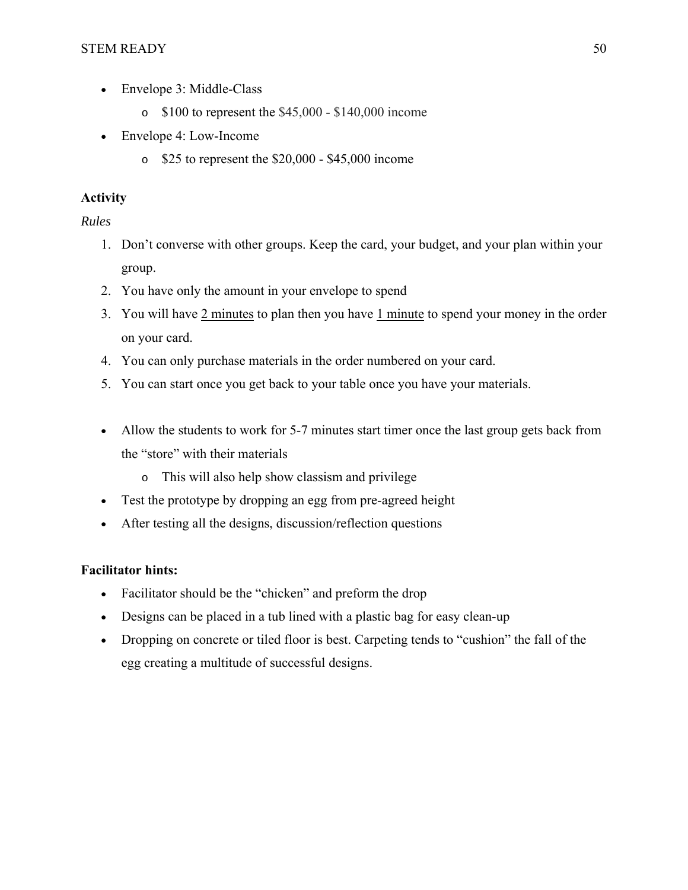- Envelope 3: Middle-Class
	- $\degree$  \$100 to represent the \$45,000 \$140,000 income
- Envelope 4: Low-Income
	- $\degree$  \$25 to represent the \$20,000 \$45,000 income

# **Activity**

*Rules*

- 1. Don't converse with other groups. Keep the card, your budget, and your plan within your group.
- 2. You have only the amount in your envelope to spend
- 3. You will have  $2 \text{ minutes}$  to plan then you have  $1 \text{ minute}$  to spend your money in the order on your card.
- 4. You can only purchase materials in the order numbered on your card.
- 5. You can start once you get back to your table once you have your materials.
- Allow the students to work for 5-7 minutes start timer once the last group gets back from the "store" with their materials
	- o This will also help show classism and privilege
- Test the prototype by dropping an egg from pre-agreed height
- After testing all the designs, discussion/reflection questions

# **Facilitator hints:**

- Facilitator should be the "chicken" and preform the drop
- Designs can be placed in a tub lined with a plastic bag for easy clean-up
- Dropping on concrete or tiled floor is best. Carpeting tends to "cushion" the fall of the egg creating a multitude of successful designs.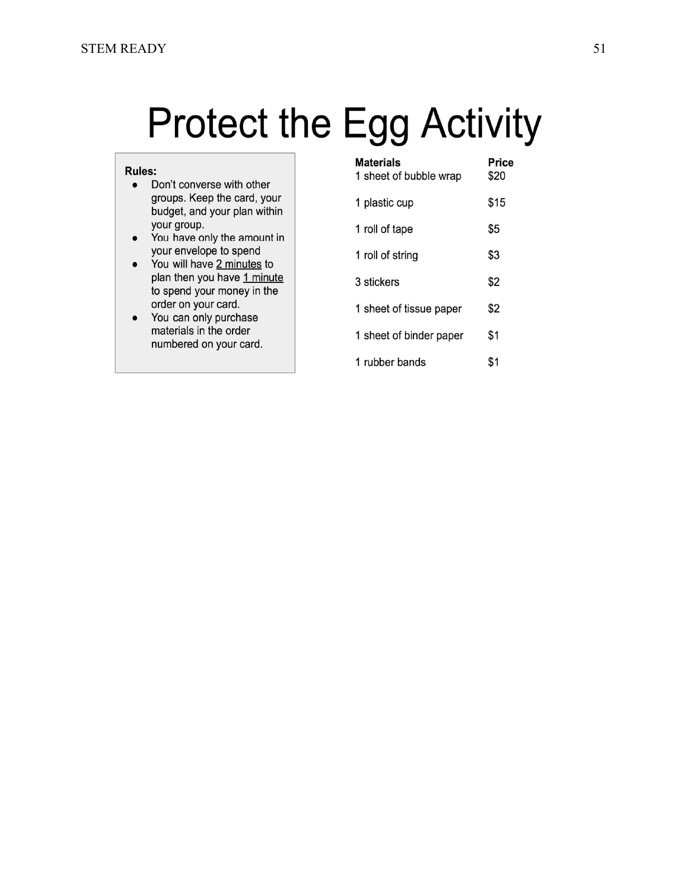# **Protect the Egg Activity**

#### **Rules:**

- Don't converse with other groups. Keep the card, your budget, and your plan within your group.
- You have only the amount in your envelope to spend
- You will have 2 minutes to plan then you have 1 minute to spend your money in the order on your card.
- You can only purchase materials in the order numbered on your card.

| <b>Materials</b><br>1 sheet of bubble wrap | Price<br>\$20 |
|--------------------------------------------|---------------|
| 1 plastic cup                              | \$15          |
| 1 roll of tape                             | \$5           |
| 1 roll of string                           | \$3           |
| 3 stickers                                 | \$2           |
| 1 sheet of tissue paper                    | \$2           |
| 1 sheet of binder paper                    | \$1           |
| 1 rubber bands                             | \$1           |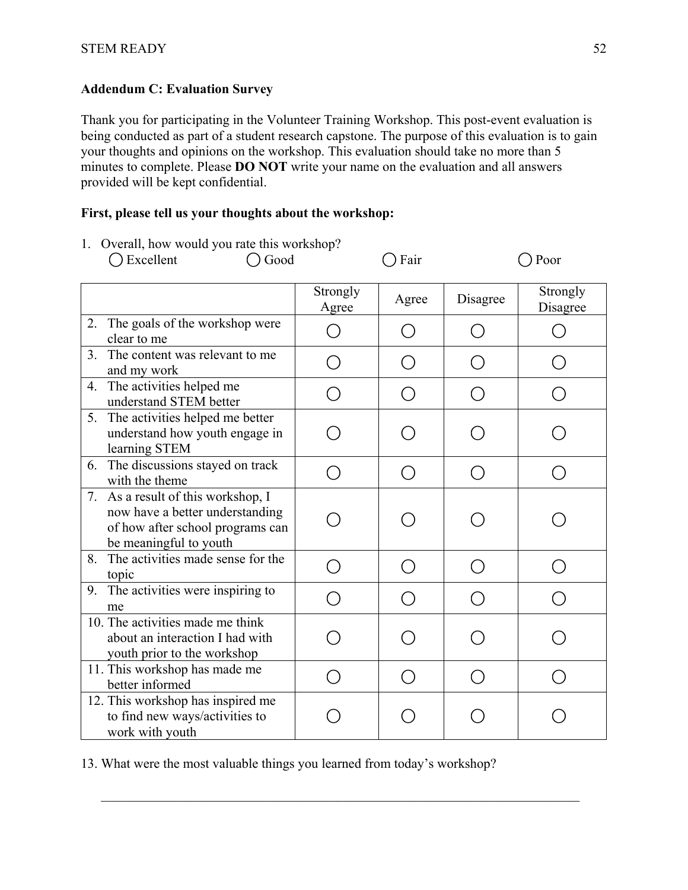# **Addendum C: Evaluation Survey**

Thank you for participating in the Volunteer Training Workshop. This post-event evaluation is being conducted as part of a student research capstone. The purpose of this evaluation is to gain your thoughts and opinions on the workshop. This evaluation should take no more than 5 minutes to complete. Please **DO NOT** write your name on the evaluation and all answers provided will be kept confidential.

# **First, please tell us your thoughts about the workshop:**

| 1. Overall, how would you rate this workshop?<br>Good<br>◯ Excellent                                                                |                                             | Fair   |          | Poor                 |
|-------------------------------------------------------------------------------------------------------------------------------------|---------------------------------------------|--------|----------|----------------------|
|                                                                                                                                     | Strongly<br>Agree                           | Agree  | Disagree | Strongly<br>Disagree |
| The goals of the workshop were<br>2.<br>clear to me                                                                                 | $\Box$                                      |        |          |                      |
| The content was relevant to me<br>3.<br>and my work                                                                                 |                                             |        |          |                      |
| 4. The activities helped me<br>understand STEM better                                                                               |                                             |        | $\Box$   |                      |
| The activities helped me better<br>5.<br>understand how youth engage in<br>learning STEM                                            |                                             |        |          |                      |
| The discussions stayed on track<br>6.<br>with the theme                                                                             | ◯                                           | $(\ )$ | $(\ )$   |                      |
| 7. As a result of this workshop, I<br>now have a better understanding<br>of how after school programs can<br>be meaningful to youth |                                             |        |          |                      |
| The activities made sense for the<br>8.<br>topic                                                                                    | $\left(\begin{array}{c} \end{array}\right)$ | ( )    |          |                      |
| The activities were inspiring to<br>9.<br>me                                                                                        | ◯                                           |        |          |                      |
| 10. The activities made me think<br>about an interaction I had with<br>youth prior to the workshop                                  |                                             |        |          |                      |
| 11. This workshop has made me<br>better informed                                                                                    | ( )                                         | $(\ )$ |          |                      |
| 12. This workshop has inspired me<br>to find new ways/activities to<br>work with youth                                              |                                             |        |          |                      |

1. Overall, how would you rate this words  $1$ . 0

13. What were the most valuable things you learned from today's workshop?